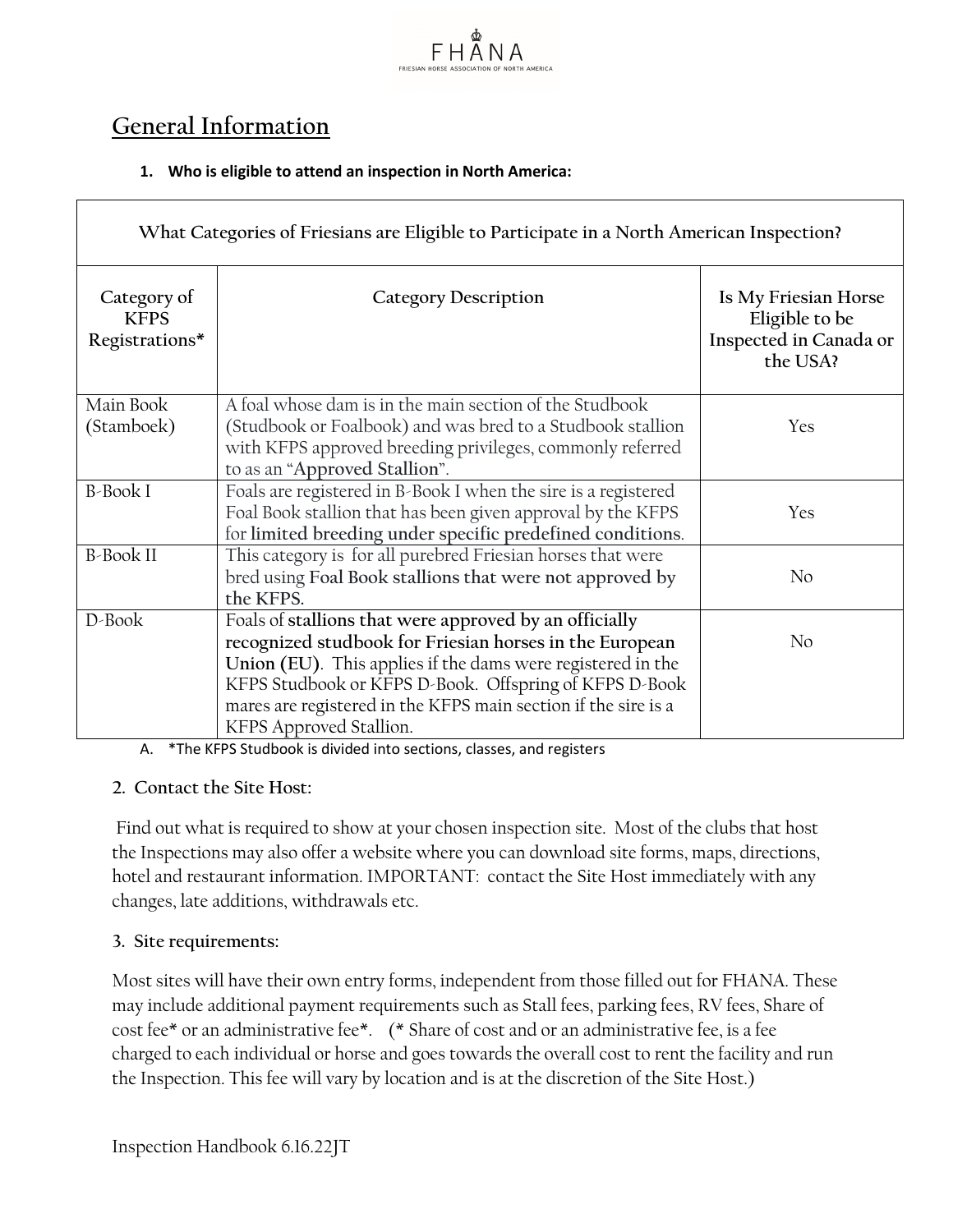

# **General Information**

# **1. Who is eligible to attend an inspection in North America:**

| What Categories of Friesians are Eligible to Participate in a North American Inspection? |                                                                                                                                                                                                                                                                                                                                         |                                                                              |  |  |
|------------------------------------------------------------------------------------------|-----------------------------------------------------------------------------------------------------------------------------------------------------------------------------------------------------------------------------------------------------------------------------------------------------------------------------------------|------------------------------------------------------------------------------|--|--|
| Category of<br><b>KFPS</b><br>Registrations*                                             | <b>Category Description</b>                                                                                                                                                                                                                                                                                                             | Is My Friesian Horse<br>Eligible to be<br>Inspected in Canada or<br>the USA? |  |  |
| Main Book<br>(Stamboek)                                                                  | A foal whose dam is in the main section of the Studbook<br>(Studbook or Foalbook) and was bred to a Studbook stallion<br>with KFPS approved breeding privileges, commonly referred<br>to as an "Approved Stallion".                                                                                                                     | Yes                                                                          |  |  |
| <b>B-Book I</b>                                                                          | Foals are registered in B-Book I when the sire is a registered<br>Foal Book stallion that has been given approval by the KFPS<br>for limited breeding under specific predefined conditions.                                                                                                                                             | Yes                                                                          |  |  |
| <b>B-Book II</b>                                                                         | This category is for all purebred Friesian horses that were<br>bred using Foal Book stallions that were not approved by<br>the KFPS.                                                                                                                                                                                                    | No                                                                           |  |  |
| D-Book                                                                                   | Foals of stallions that were approved by an officially<br>recognized studbook for Friesian horses in the European<br>Union (EU). This applies if the dams were registered in the<br>KFPS Studbook or KFPS D-Book. Offspring of KFPS D-Book<br>mares are registered in the KFPS main section if the sire is a<br>KFPS Approved Stallion. | No                                                                           |  |  |

A. \*The KFPS Studbook is divided into sections, classes, and registers

# **2. Contact the Site Host:**

Find out what is required to show at your chosen inspection site. Most of the clubs that host the Inspections may also offer a website where you can download site forms, maps, directions, hotel and restaurant information. IMPORTANT: contact the Site Host immediately with any changes, late additions, withdrawals etc.

# **3. Site requirements:**

Most sites will have their own entry forms, independent from those filled out for FHANA. These may include additional payment requirements such as Stall fees, parking fees, RV fees, Share of cost fee\* or an administrative fee\*. (\* Share of cost and or an administrative fee, is a fee charged to each individual or horse and goes towards the overall cost to rent the facility and run the Inspection. This fee will vary by location and is at the discretion of the Site Host.)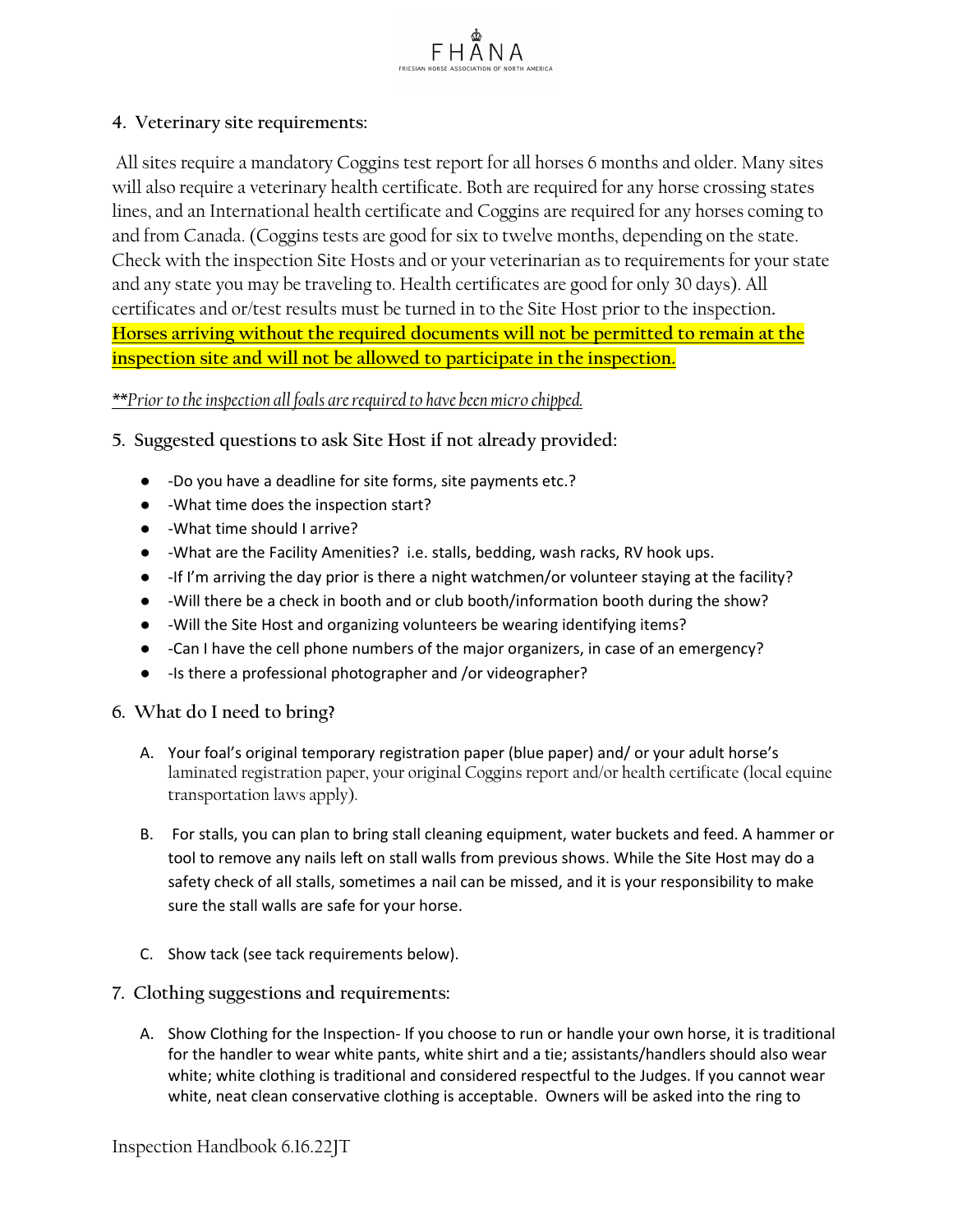# **4. Veterinary site requirements:**

All sites require a mandatory Coggins test report for all horses 6 months and older. Many sites will also require a veterinary health certificate. Both are required for any horse crossing states lines, and an International health certificate and Coggins are required for any horses coming to and from Canada. (Coggins tests are good for six to twelve months, depending on the state. Check with the inspection Site Hosts and or your veterinarian as to requirements for your state and any state you may be traveling to. Health certificates are good for only 30 days). All certificates and or/test results must be turned in to the Site Host prior to the inspection**. Horses arriving without the required documents will not be permitted to remain at the inspection site and will not be allowed to participate in the inspection.** 

FHANA

### *\*\*Prior to the inspection all foals are required to have been micro chipped.*

- **5. Suggested questions to ask Site Host if not already provided:**
	- -Do you have a deadline for site forms, site payments etc.?
	- -What time does the inspection start?
	- -What time should I arrive?
	- -What are the Facility Amenities? i.e. stalls, bedding, wash racks, RV hook ups.
	- -If I'm arriving the day prior is there a night watchmen/or volunteer staying at the facility?
	- -Will there be a check in booth and or club booth/information booth during the show?
	- -Will the Site Host and organizing volunteers be wearing identifying items?
	- -Can I have the cell phone numbers of the major organizers, in case of an emergency?
	- -Is there a professional photographer and /or videographer?

#### **6. What do I need to bring?**

- A. Your foal's original temporary registration paper (blue paper) and/ or your adult horse's laminated registration paper, your original Coggins report and/or health certificate (local equine transportation laws apply).
- B. For stalls, you can plan to bring stall cleaning equipment, water buckets and feed. A hammer or tool to remove any nails left on stall walls from previous shows. While the Site Host may do a safety check of all stalls, sometimes a nail can be missed, and it is your responsibility to make sure the stall walls are safe for your horse.
- C. Show tack (see tack requirements below).
- **7. Clothing suggestions and requirements:**
	- A. Show Clothing for the Inspection- If you choose to run or handle your own horse, it is traditional for the handler to wear white pants, white shirt and a tie; assistants/handlers should also wear white; white clothing is traditional and considered respectful to the Judges. If you cannot wear white, neat clean conservative clothing is acceptable. Owners will be asked into the ring to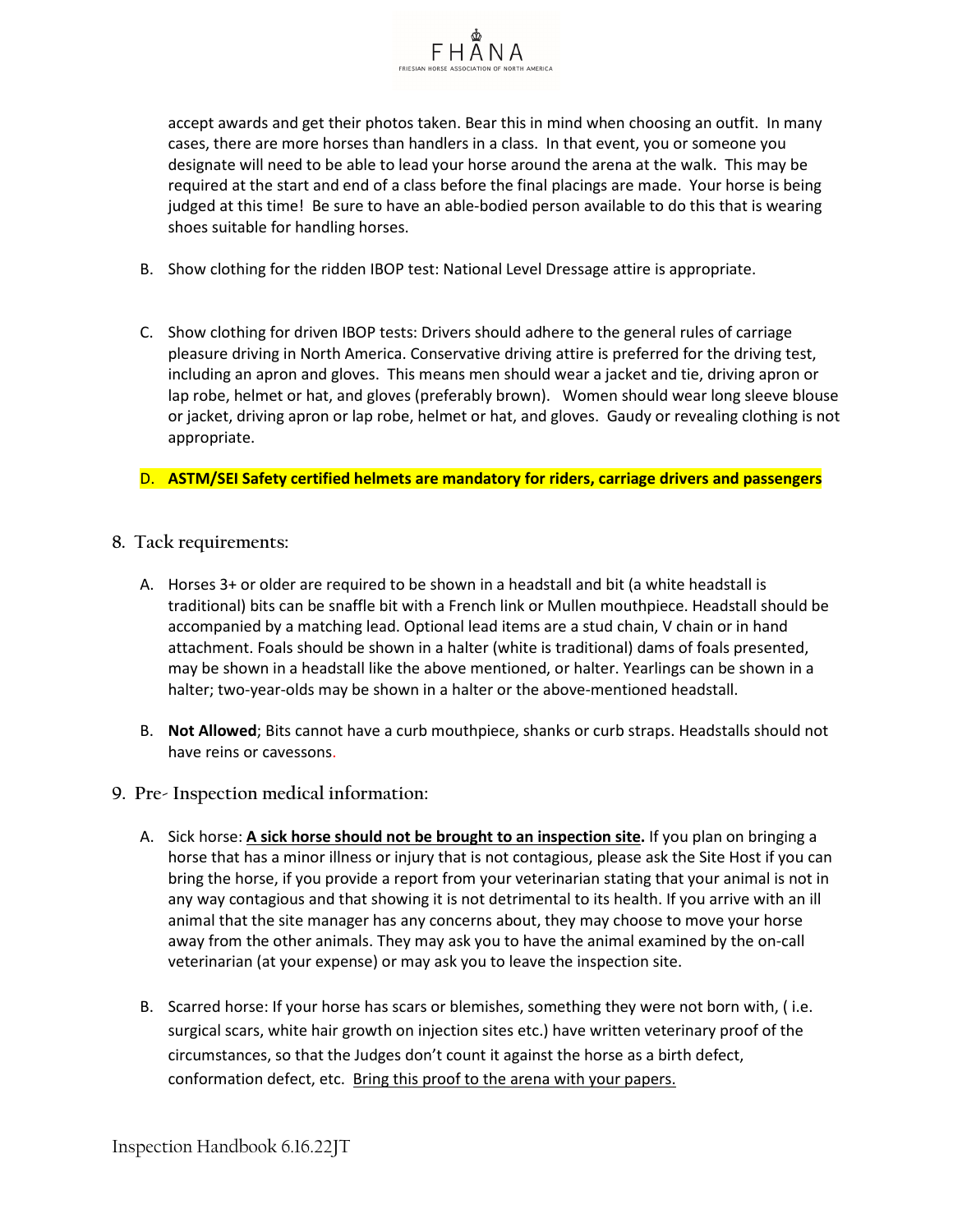

accept awards and get their photos taken. Bear this in mind when choosing an outfit. In many cases, there are more horses than handlers in a class. In that event, you or someone you designate will need to be able to lead your horse around the arena at the walk. This may be required at the start and end of a class before the final placings are made. Your horse is being judged at this time! Be sure to have an able-bodied person available to do this that is wearing shoes suitable for handling horses.

- B. Show clothing for the ridden IBOP test: National Level Dressage attire is appropriate.
- C. Show clothing for driven IBOP tests: Drivers should adhere to the general rules of carriage pleasure driving in North America. Conservative driving attire is preferred for the driving test, including an apron and gloves. This means men should wear a jacket and tie, driving apron or lap robe, helmet or hat, and gloves (preferably brown). Women should wear long sleeve blouse or jacket, driving apron or lap robe, helmet or hat, and gloves. Gaudy or revealing clothing is not appropriate.
- D. **ASTM/SEI Safety certified helmets are mandatory for riders, carriage drivers and passengers**
- **8. Tack requirements:**
	- A. Horses 3+ or older are required to be shown in a headstall and bit (a white headstall is traditional) bits can be snaffle bit with a French link or Mullen mouthpiece. Headstall should be accompanied by a matching lead. Optional lead items are a stud chain, V chain or in hand attachment. Foals should be shown in a halter (white is traditional) dams of foals presented, may be shown in a headstall like the above mentioned, or halter. Yearlings can be shown in a halter; two-year-olds may be shown in a halter or the above-mentioned headstall.
	- B. **Not Allowed**; Bits cannot have a curb mouthpiece, shanks or curb straps. Headstalls should not have reins or cavessons.
- **9. Pre- Inspection medical information:**
	- A. Sick horse: **A sick horse should not be brought to an inspection site.** If you plan on bringing a horse that has a minor illness or injury that is not contagious, please ask the Site Host if you can bring the horse, if you provide a report from your veterinarian stating that your animal is not in any way contagious and that showing it is not detrimental to its health. If you arrive with an ill animal that the site manager has any concerns about, they may choose to move your horse away from the other animals. They may ask you to have the animal examined by the on-call veterinarian (at your expense) or may ask you to leave the inspection site.
	- B. Scarred horse: If your horse has scars or blemishes, something they were not born with, ( i.e. surgical scars, white hair growth on injection sites etc.) have written veterinary proof of the circumstances, so that the Judges don't count it against the horse as a birth defect, conformation defect, etc. Bring this proof to the arena with your papers.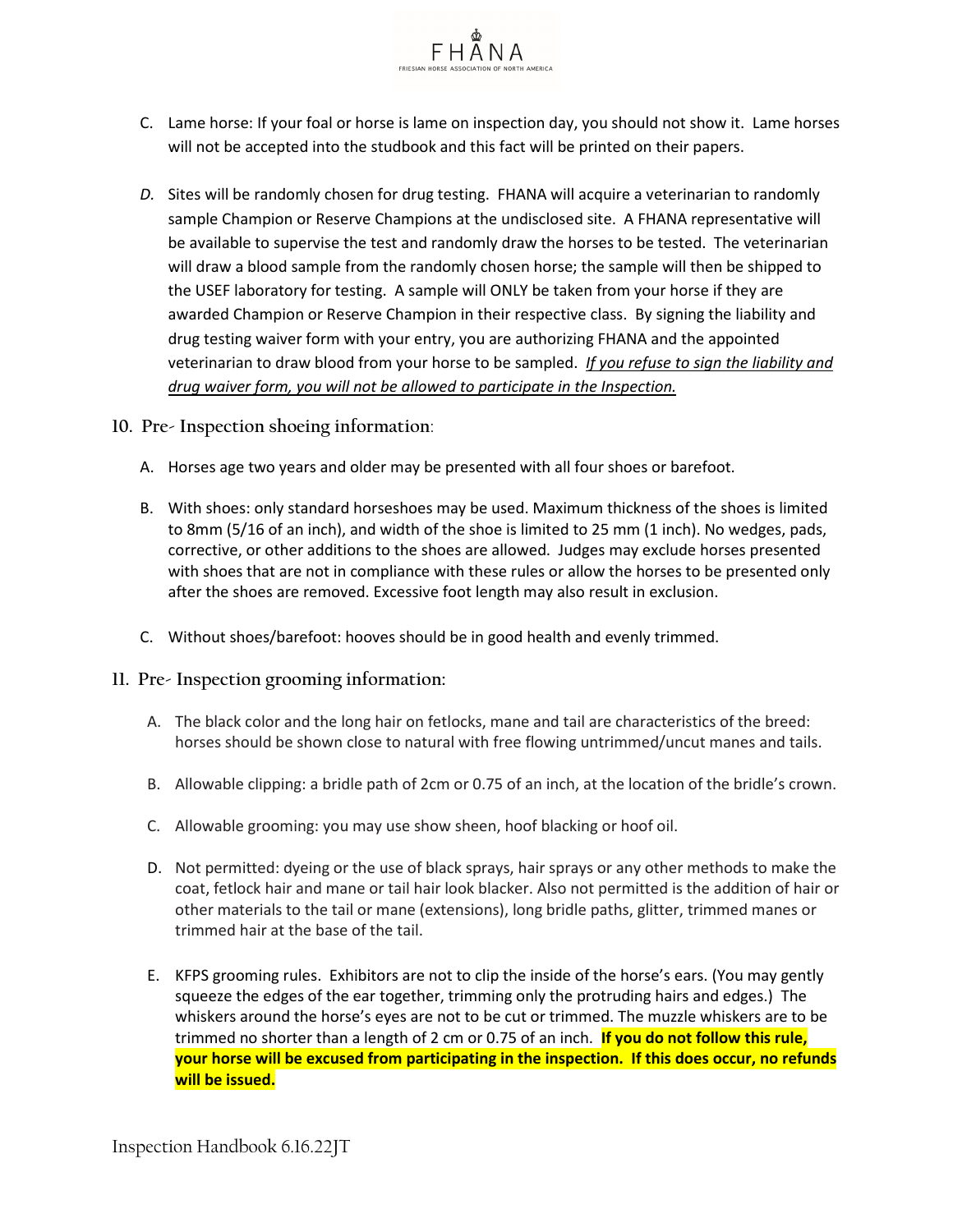

- C. Lame horse: If your foal or horse is lame on inspection day, you should not show it. Lame horses will not be accepted into the studbook and this fact will be printed on their papers.
- *D.* Sites will be randomly chosen for drug testing. FHANA will acquire a veterinarian to randomly sample Champion or Reserve Champions at the undisclosed site. A FHANA representative will be available to supervise the test and randomly draw the horses to be tested. The veterinarian will draw a blood sample from the randomly chosen horse; the sample will then be shipped to the USEF laboratory for testing. A sample will ONLY be taken from your horse if they are awarded Champion or Reserve Champion in their respective class. By signing the liability and drug testing waiver form with your entry, you are authorizing FHANA and the appointed veterinarian to draw blood from your horse to be sampled. *If you refuse to sign the liability and drug waiver form, you will not be allowed to participate in the Inspection.*
- **10. Pre- Inspection shoeing information**:
	- A. Horses age two years and older may be presented with all four shoes or barefoot.
	- B. With shoes: only standard horseshoes may be used. Maximum thickness of the shoes is limited to 8mm (5/16 of an inch), and width of the shoe is limited to 25 mm (1 inch). No wedges, pads, corrective, or other additions to the shoes are allowed. Judges may exclude horses presented with shoes that are not in compliance with these rules or allow the horses to be presented only after the shoes are removed. Excessive foot length may also result in exclusion.
	- C. Without shoes/barefoot: hooves should be in good health and evenly trimmed.
- **11. Pre- Inspection grooming information:**
	- A. The black color and the long hair on fetlocks, mane and tail are characteristics of the breed: horses should be shown close to natural with free flowing untrimmed/uncut manes and tails.
	- B. Allowable clipping: a bridle path of 2cm or 0.75 of an inch, at the location of the bridle's crown.
	- C. Allowable grooming: you may use show sheen, hoof blacking or hoof oil.
	- D. Not permitted: dyeing or the use of black sprays, hair sprays or any other methods to make the coat, fetlock hair and mane or tail hair look blacker. Also not permitted is the addition of hair or other materials to the tail or mane (extensions), long bridle paths, glitter, trimmed manes or trimmed hair at the base of the tail.
	- E. KFPS grooming rules. Exhibitors are not to clip the inside of the horse's ears. (You may gently squeeze the edges of the ear together, trimming only the protruding hairs and edges.) The whiskers around the horse's eyes are not to be cut or trimmed. The muzzle whiskers are to be trimmed no shorter than a length of 2 cm or 0.75 of an inch. **If you do not follow this rule, your horse will be excused from participating in the inspection. If this does occur, no refunds will be issued.**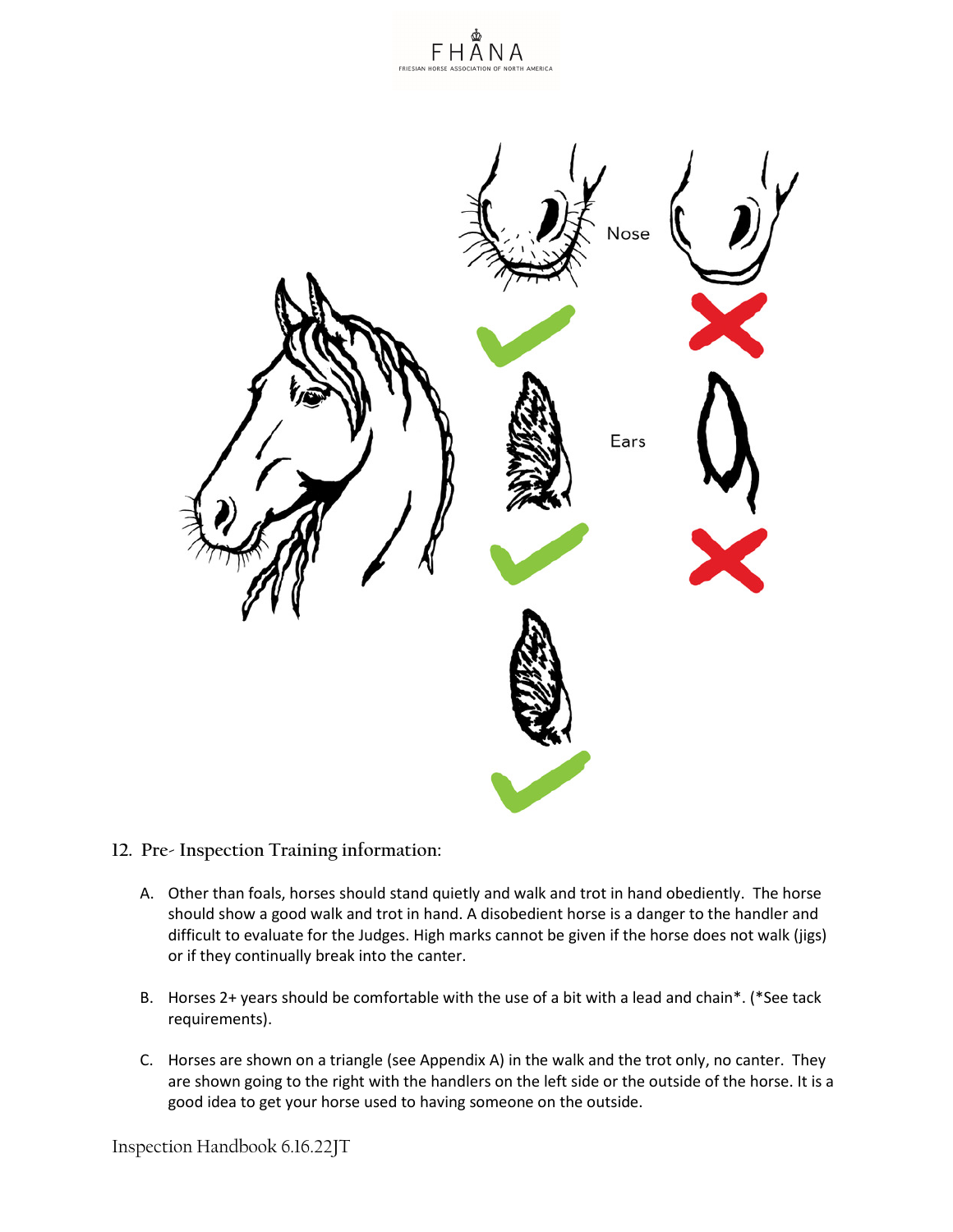



- **12. Pre- Inspection Training information:**
	- A. Other than foals, horses should stand quietly and walk and trot in hand obediently. The horse should show a good walk and trot in hand. A disobedient horse is a danger to the handler and difficult to evaluate for the Judges. High marks cannot be given if the horse does not walk (jigs) or if they continually break into the canter.
	- B. Horses 2+ years should be comfortable with the use of a bit with a lead and chain\*. (\*See tack requirements).
	- C. Horses are shown on a triangle (see Appendix A) in the walk and the trot only, no canter. They are shown going to the right with the handlers on the left side or the outside of the horse. It is a good idea to get your horse used to having someone on the outside.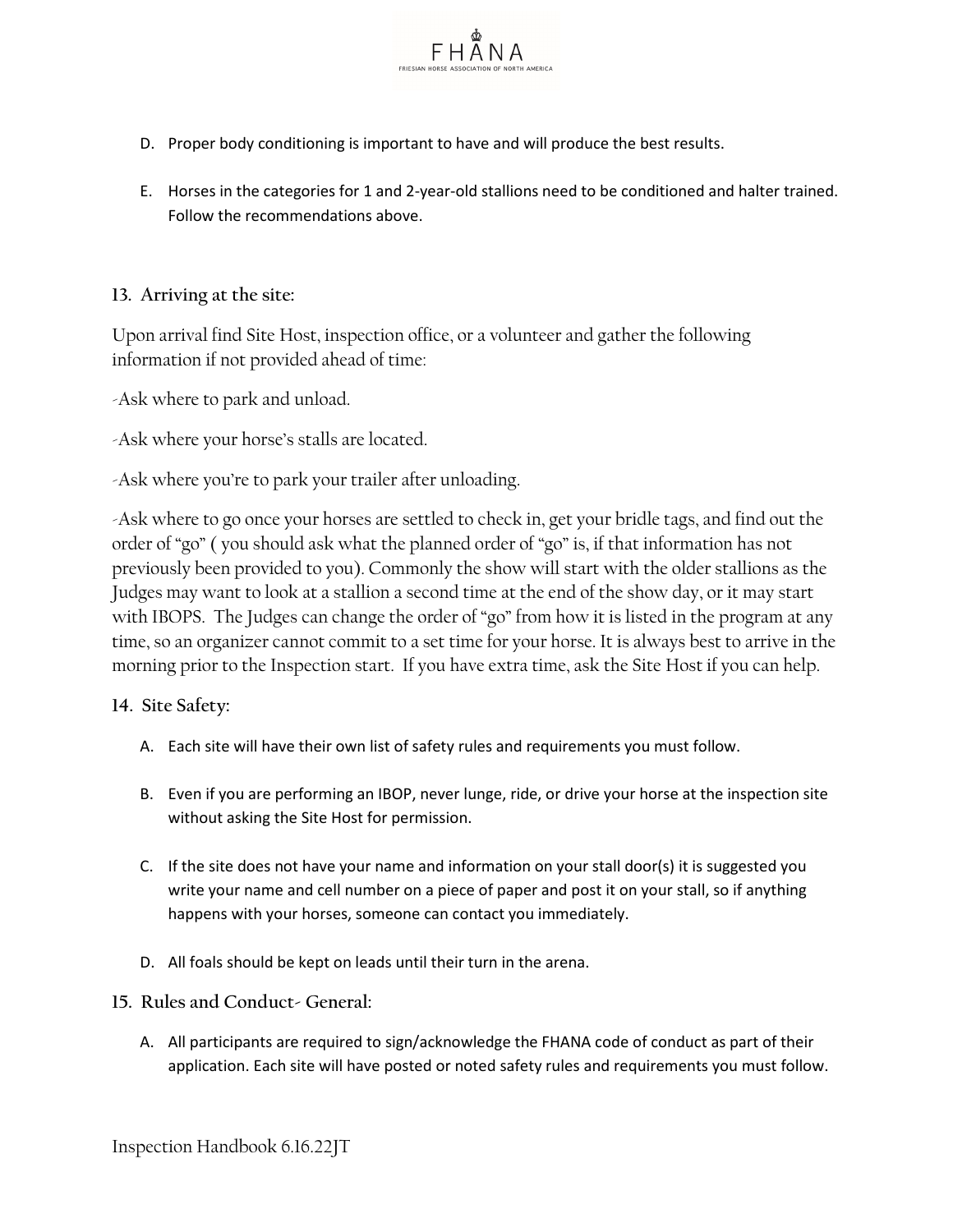- D. Proper body conditioning is important to have and will produce the best results.
- E. Horses in the categories for 1 and 2-year-old stallions need to be conditioned and halter trained. Follow the recommendations above.

FHANA

# **13. Arriving at the site:**

Upon arrival find Site Host, inspection office, or a volunteer and gather the following information if not provided ahead of time:

-Ask where to park and unload.

-Ask where your horse's stalls are located.

-Ask where you're to park your trailer after unloading.

-Ask where to go once your horses are settled to check in, get your bridle tags, and find out the order of "go" ( you should ask what the planned order of "go" is, if that information has not previously been provided to you). Commonly the show will start with the older stallions as the Judges may want to look at a stallion a second time at the end of the show day, or it may start with IBOPS. The Judges can change the order of "go" from how it is listed in the program at any time, so an organizer cannot commit to a set time for your horse. It is always best to arrive in the morning prior to the Inspection start. If you have extra time, ask the Site Host if you can help.

**14. Site Safety:** 

- A. Each site will have their own list of safety rules and requirements you must follow.
- B. Even if you are performing an IBOP, never lunge, ride, or drive your horse at the inspection site without asking the Site Host for permission.
- C. If the site does not have your name and information on your stall door(s) it is suggested you write your name and cell number on a piece of paper and post it on your stall, so if anything happens with your horses, someone can contact you immediately.
- D. All foals should be kept on leads until their turn in the arena.
- **15. Rules and Conduct- General:**
	- A. All participants are required to sign/acknowledge the FHANA code of conduct as part of their application. Each site will have posted or noted safety rules and requirements you must follow.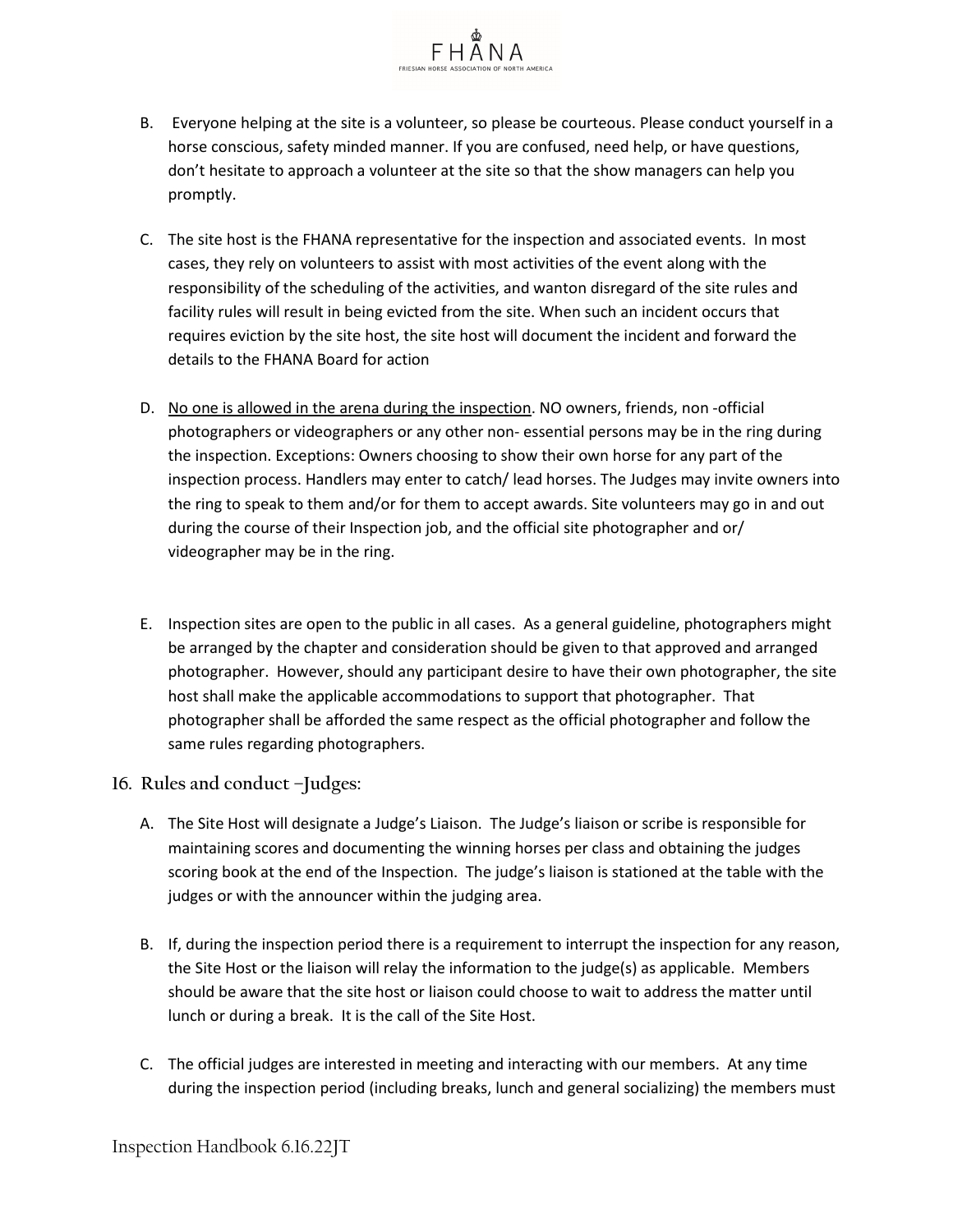

 $F H \overline{A} N A$ 

- C. The site host is the FHANA representative for the inspection and associated events. In most cases, they rely on volunteers to assist with most activities of the event along with the responsibility of the scheduling of the activities, and wanton disregard of the site rules and facility rules will result in being evicted from the site. When such an incident occurs that requires eviction by the site host, the site host will document the incident and forward the details to the FHANA Board for action
- D. No one is allowed in the arena during the inspection. NO owners, friends, non -official photographers or videographers or any other non- essential persons may be in the ring during the inspection. Exceptions: Owners choosing to show their own horse for any part of the inspection process. Handlers may enter to catch/ lead horses. The Judges may invite owners into the ring to speak to them and/or for them to accept awards. Site volunteers may go in and out during the course of their Inspection job, and the official site photographer and or/ videographer may be in the ring.
- E. Inspection sites are open to the public in all cases. As a general guideline, photographers might be arranged by the chapter and consideration should be given to that approved and arranged photographer. However, should any participant desire to have their own photographer, the site host shall make the applicable accommodations to support that photographer. That photographer shall be afforded the same respect as the official photographer and follow the same rules regarding photographers.
- **16. Rules and conduct –Judges:**
	- A. The Site Host will designate a Judge's Liaison. The Judge's liaison or scribe is responsible for maintaining scores and documenting the winning horses per class and obtaining the judges scoring book at the end of the Inspection. The judge's liaison is stationed at the table with the judges or with the announcer within the judging area.
	- B. If, during the inspection period there is a requirement to interrupt the inspection for any reason, the Site Host or the liaison will relay the information to the judge(s) as applicable. Members should be aware that the site host or liaison could choose to wait to address the matter until lunch or during a break. It is the call of the Site Host.
	- C. The official judges are interested in meeting and interacting with our members. At any time during the inspection period (including breaks, lunch and general socializing) the members must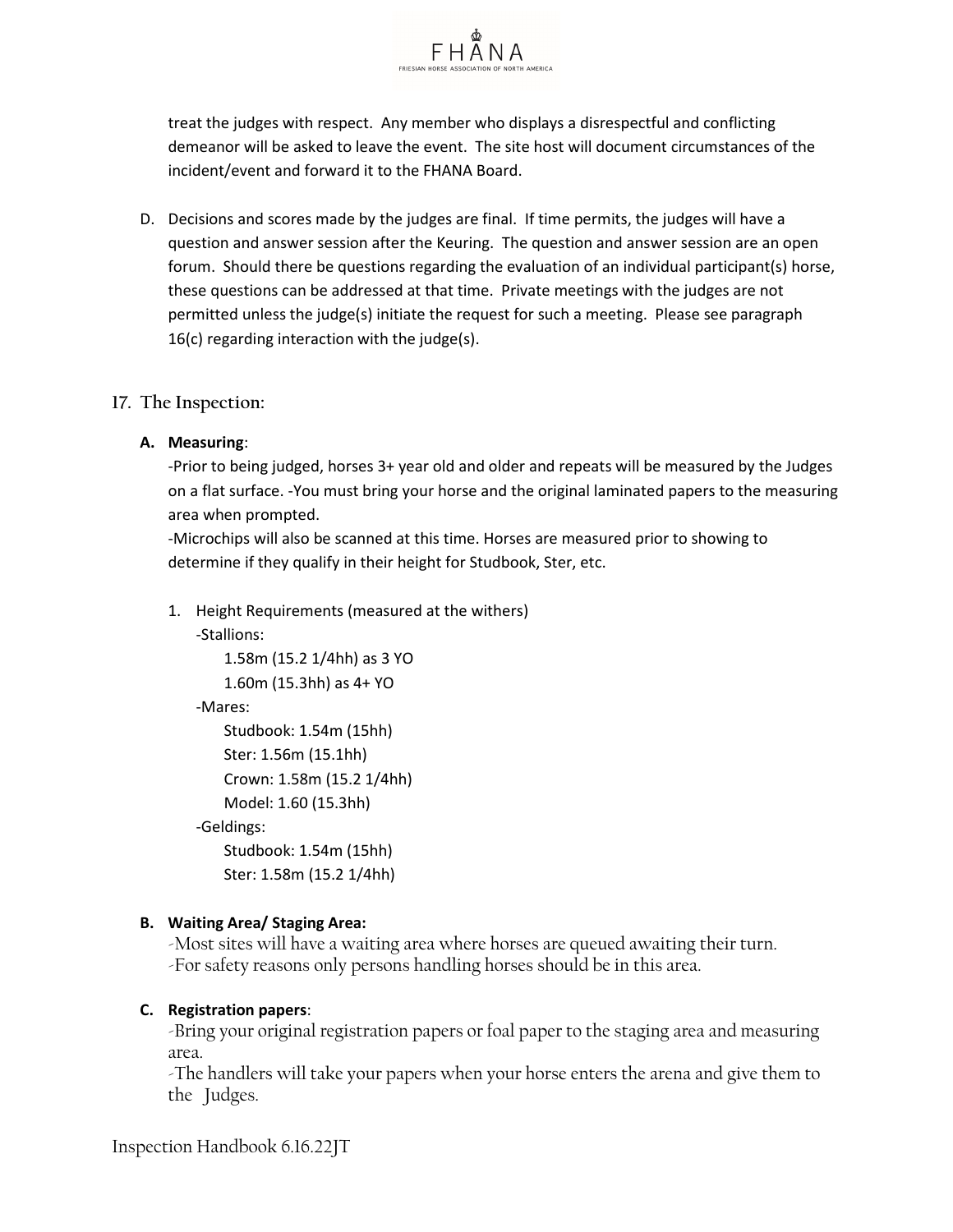

treat the judges with respect. Any member who displays a disrespectful and conflicting demeanor will be asked to leave the event. The site host will document circumstances of the incident/event and forward it to the FHANA Board.

D. Decisions and scores made by the judges are final. If time permits, the judges will have a question and answer session after the Keuring. The question and answer session are an open forum. Should there be questions regarding the evaluation of an individual participant(s) horse, these questions can be addressed at that time. Private meetings with the judges are not permitted unless the judge(s) initiate the request for such a meeting. Please see paragraph 16(c) regarding interaction with the judge(s).

### **17. The Inspection:**

#### **A. Measuring**:

-Prior to being judged, horses 3+ year old and older and repeats will be measured by the Judges on a flat surface. -You must bring your horse and the original laminated papers to the measuring area when prompted.

-Microchips will also be scanned at this time. Horses are measured prior to showing to determine if they qualify in their height for Studbook, Ster, etc.

1. Height Requirements (measured at the withers)

-Stallions:

1.58m (15.2 1/4hh) as 3 YO 1.60m (15.3hh) as 4+ YO

-Mares:

```
Studbook: 1.54m (15hh)
   Ster: 1.56m (15.1hh)
   Crown: 1.58m (15.2 1/4hh)
   Model: 1.60 (15.3hh)
-Geldings:
   Studbook: 1.54m (15hh)
   Ster: 1.58m (15.2 1/4hh)
```
### **B. Waiting Area/ Staging Area:**

-Most sites will have a waiting area where horses are queued awaiting their turn. -For safety reasons only persons handling horses should be in this area.

### **C. Registration papers**:

-Bring your original registration papers or foal paper to the staging area and measuring area.

-The handlers will take your papers when your horse enters the arena and give them to the Judges.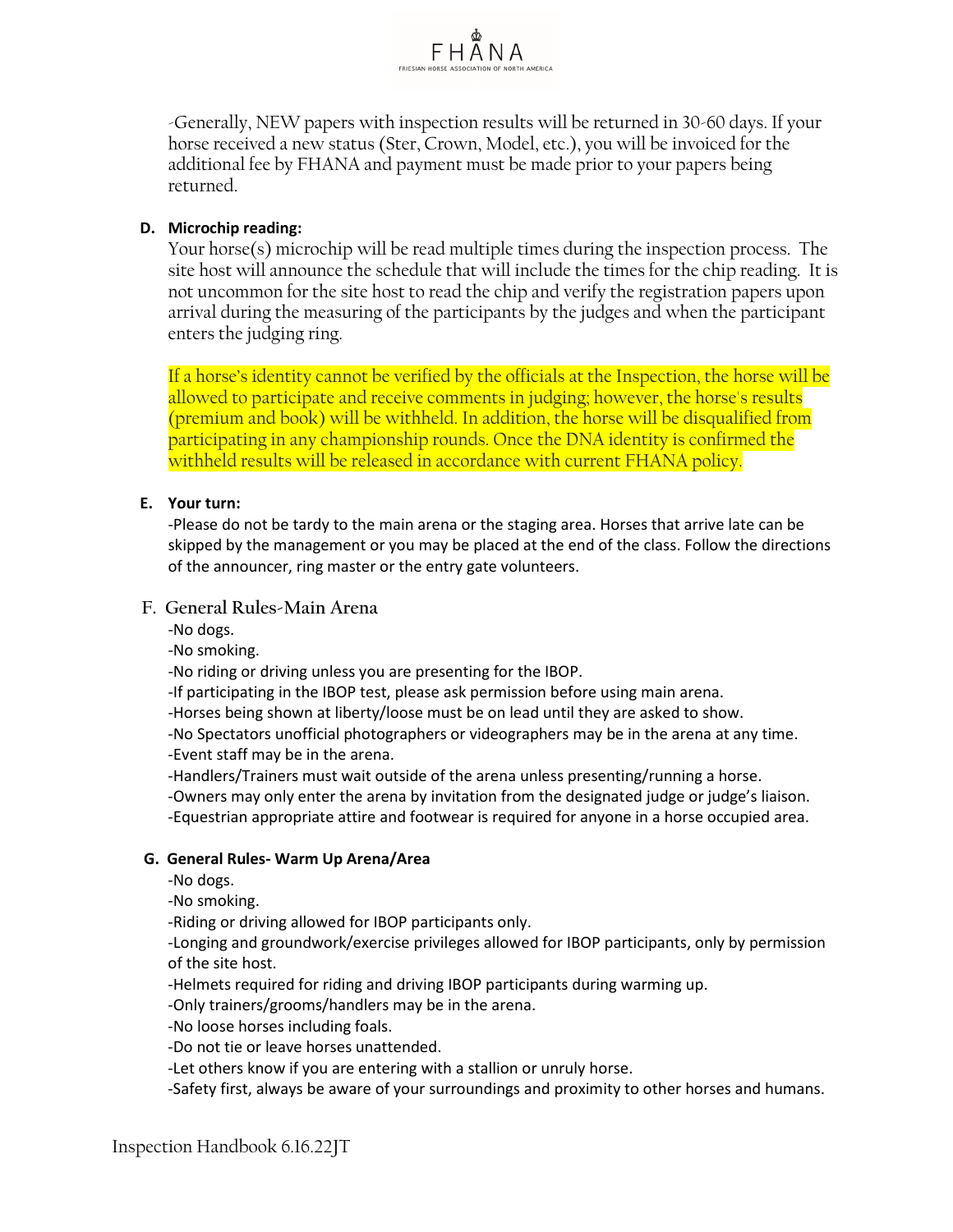

-Generally, NEW papers with inspection results will be returned in 30-60 days. If your horse received a new status (Ster, Crown, Model, etc.), you will be invoiced for the additional fee by FHANA and payment must be made prior to your papers being returned.

# **D. Microchip reading:**

Your horse(s) microchip will be read multiple times during the inspection process. The site host will announce the schedule that will include the times for the chip reading. It is not uncommon for the site host to read the chip and verify the registration papers upon arrival during the measuring of the participants by the judges and when the participant enters the judging ring.

If a horse's identity cannot be verified by the officials at the Inspection, the horse will be allowed to participate and receive comments in judging; however, the horse's results (premium and book) will be withheld. In addition, the horse will be disqualified from participating in any championship rounds. Once the DNA identity is confirmed the withheld results will be released in accordance with current FHANA policy.

#### **E. Your turn:**

-Please do not be tardy to the main arena or the staging area. Horses that arrive late can be skipped by the management or you may be placed at the end of the class. Follow the directions of the announcer, ring master or the entry gate volunteers.

### **F. General Rules-Main Arena**

-No dogs.

-No smoking.

-No riding or driving unless you are presenting for the IBOP.

-If participating in the IBOP test, please ask permission before using main arena.

-Horses being shown at liberty/loose must be on lead until they are asked to show.

-No Spectators unofficial photographers or videographers may be in the arena at any time. -Event staff may be in the arena.

-Handlers/Trainers must wait outside of the arena unless presenting/running a horse.

-Owners may only enter the arena by invitation from the designated judge or judge's liaison.

-Equestrian appropriate attire and footwear is required for anyone in a horse occupied area.

### **G. General Rules- Warm Up Arena/Area**

-No dogs.

-No smoking.

-Riding or driving allowed for IBOP participants only.

-Longing and groundwork/exercise privileges allowed for IBOP participants, only by permission of the site host.

-Helmets required for riding and driving IBOP participants during warming up.

-Only trainers/grooms/handlers may be in the arena.

-No loose horses including foals.

-Do not tie or leave horses unattended.

-Let others know if you are entering with a stallion or unruly horse.

-Safety first, always be aware of your surroundings and proximity to other horses and humans.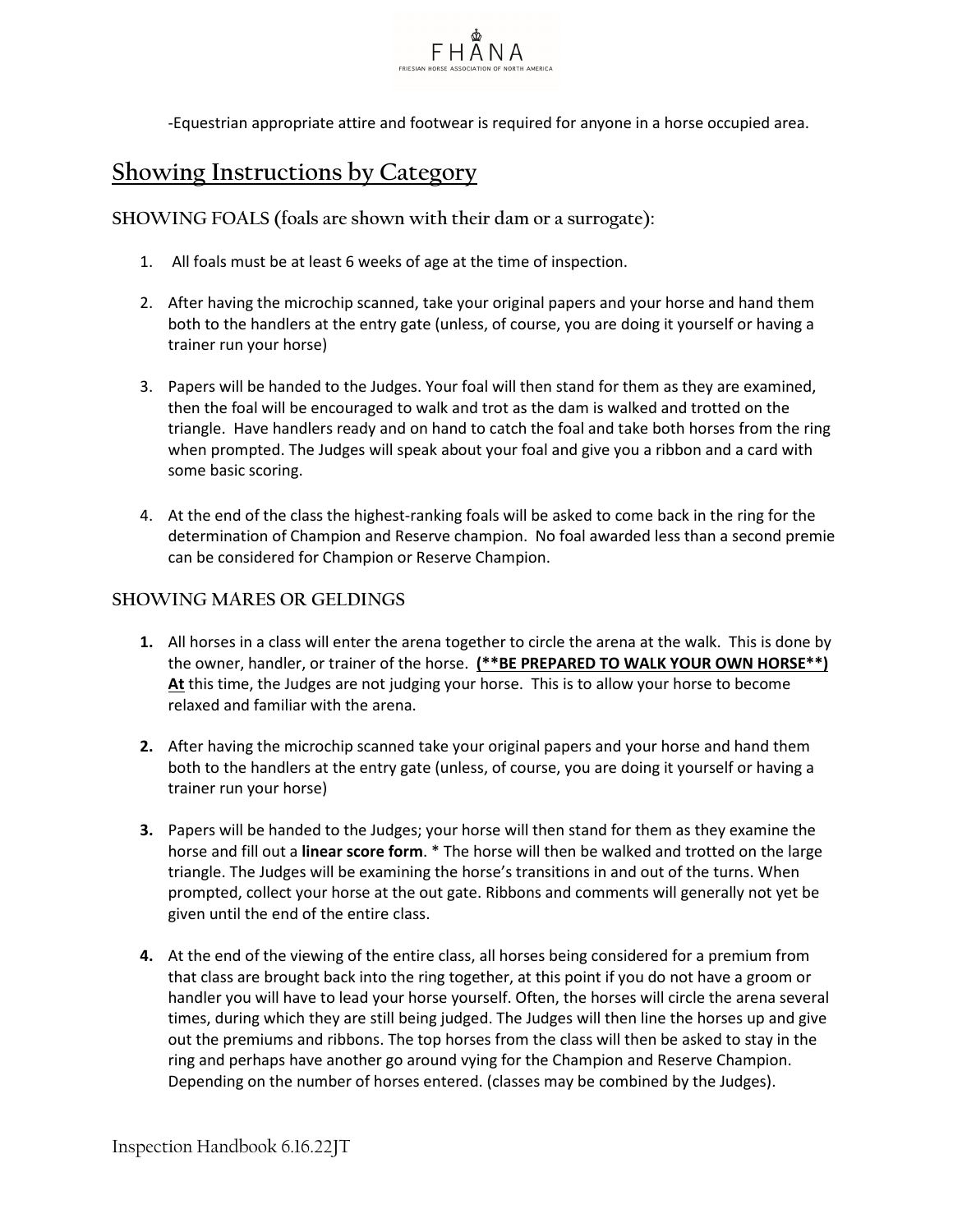

-Equestrian appropriate attire and footwear is required for anyone in a horse occupied area.

# **Showing Instructions by Category**

**SHOWING FOALS (foals are shown with their dam or a surrogate):**

- 1. All foals must be at least 6 weeks of age at the time of inspection.
- 2. After having the microchip scanned, take your original papers and your horse and hand them both to the handlers at the entry gate (unless, of course, you are doing it yourself or having a trainer run your horse)
- 3. Papers will be handed to the Judges. Your foal will then stand for them as they are examined, then the foal will be encouraged to walk and trot as the dam is walked and trotted on the triangle. Have handlers ready and on hand to catch the foal and take both horses from the ring when prompted. The Judges will speak about your foal and give you a ribbon and a card with some basic scoring.
- 4. At the end of the class the highest-ranking foals will be asked to come back in the ring for the determination of Champion and Reserve champion. No foal awarded less than a second premie can be considered for Champion or Reserve Champion.

### **SHOWING MARES OR GELDINGS**

- **1.** All horses in a class will enter the arena together to circle the arena at the walk. This is done by the owner, handler, or trainer of the horse. **(\*\*BE PREPARED TO WALK YOUR OWN HORSE\*\*) At** this time, the Judges are not judging your horse. This is to allow your horse to become relaxed and familiar with the arena.
- **2.** After having the microchip scanned take your original papers and your horse and hand them both to the handlers at the entry gate (unless, of course, you are doing it yourself or having a trainer run your horse)
- **3.** Papers will be handed to the Judges; your horse will then stand for them as they examine the horse and fill out a **linear score form**. \* The horse will then be walked and trotted on the large triangle. The Judges will be examining the horse's transitions in and out of the turns. When prompted, collect your horse at the out gate. Ribbons and comments will generally not yet be given until the end of the entire class.
- **4.** At the end of the viewing of the entire class, all horses being considered for a premium from that class are brought back into the ring together, at this point if you do not have a groom or handler you will have to lead your horse yourself. Often, the horses will circle the arena several times, during which they are still being judged. The Judges will then line the horses up and give out the premiums and ribbons. The top horses from the class will then be asked to stay in the ring and perhaps have another go around vying for the Champion and Reserve Champion. Depending on the number of horses entered. (classes may be combined by the Judges).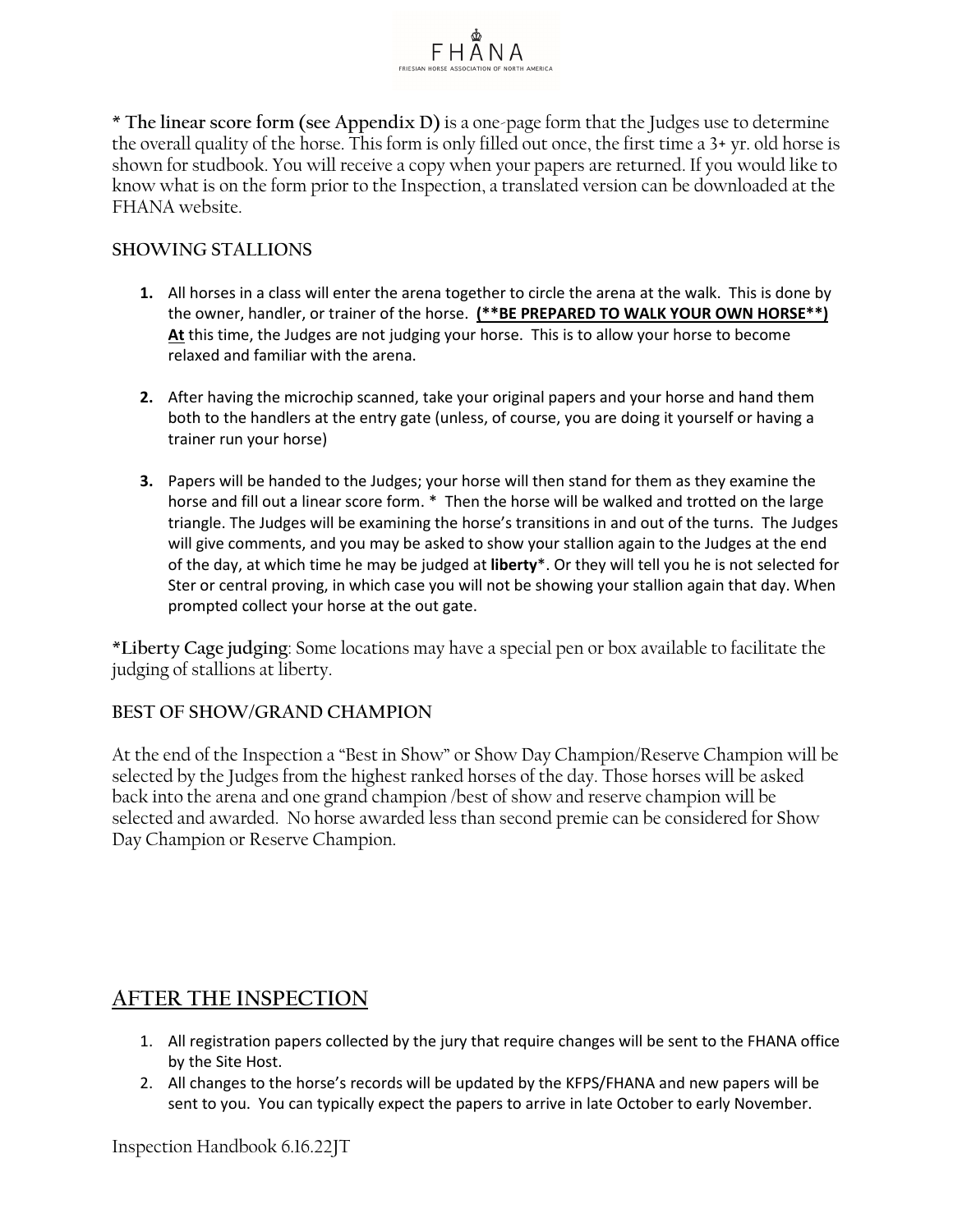\* **The linear score form (see Appendix D)** is a one-page form that the Judges use to determine the overall quality of the horse. This form is only filled out once, the first time a 3+ yr. old horse is shown for studbook. You will receive a copy when your papers are returned. If you would like to know what is on the form prior to the Inspection, a translated version can be downloaded at the FHANA website.

FHANA

# **SHOWING STALLIONS**

- **1.** All horses in a class will enter the arena together to circle the arena at the walk. This is done by the owner, handler, or trainer of the horse. **(\*\*BE PREPARED TO WALK YOUR OWN HORSE\*\*) At** this time, the Judges are not judging your horse. This is to allow your horse to become relaxed and familiar with the arena.
- **2.** After having the microchip scanned, take your original papers and your horse and hand them both to the handlers at the entry gate (unless, of course, you are doing it yourself or having a trainer run your horse)
- **3.** Papers will be handed to the Judges; your horse will then stand for them as they examine the horse and fill out a linear score form. \* Then the horse will be walked and trotted on the large triangle. The Judges will be examining the horse's transitions in and out of the turns. The Judges will give comments, and you may be asked to show your stallion again to the Judges at the end of the day, at which time he may be judged at **liberty**\*. Or they will tell you he is not selected for Ster or central proving, in which case you will not be showing your stallion again that day. When prompted collect your horse at the out gate.

\***Liberty Cage judging**: Some locations may have a special pen or box available to facilitate the judging of stallions at liberty.

### **BEST OF SHOW/GRAND CHAMPION**

At the end of the Inspection a "Best in Show" or Show Day Champion/Reserve Champion will be selected by the Judges from the highest ranked horses of the day. Those horses will be asked back into the arena and one grand champion /best of show and reserve champion will be selected and awarded. No horse awarded less than second premie can be considered for Show Day Champion or Reserve Champion.

# **AFTER THE INSPECTION**

- 1. All registration papers collected by the jury that require changes will be sent to the FHANA office by the Site Host.
- 2. All changes to the horse's records will be updated by the KFPS/FHANA and new papers will be sent to you. You can typically expect the papers to arrive in late October to early November.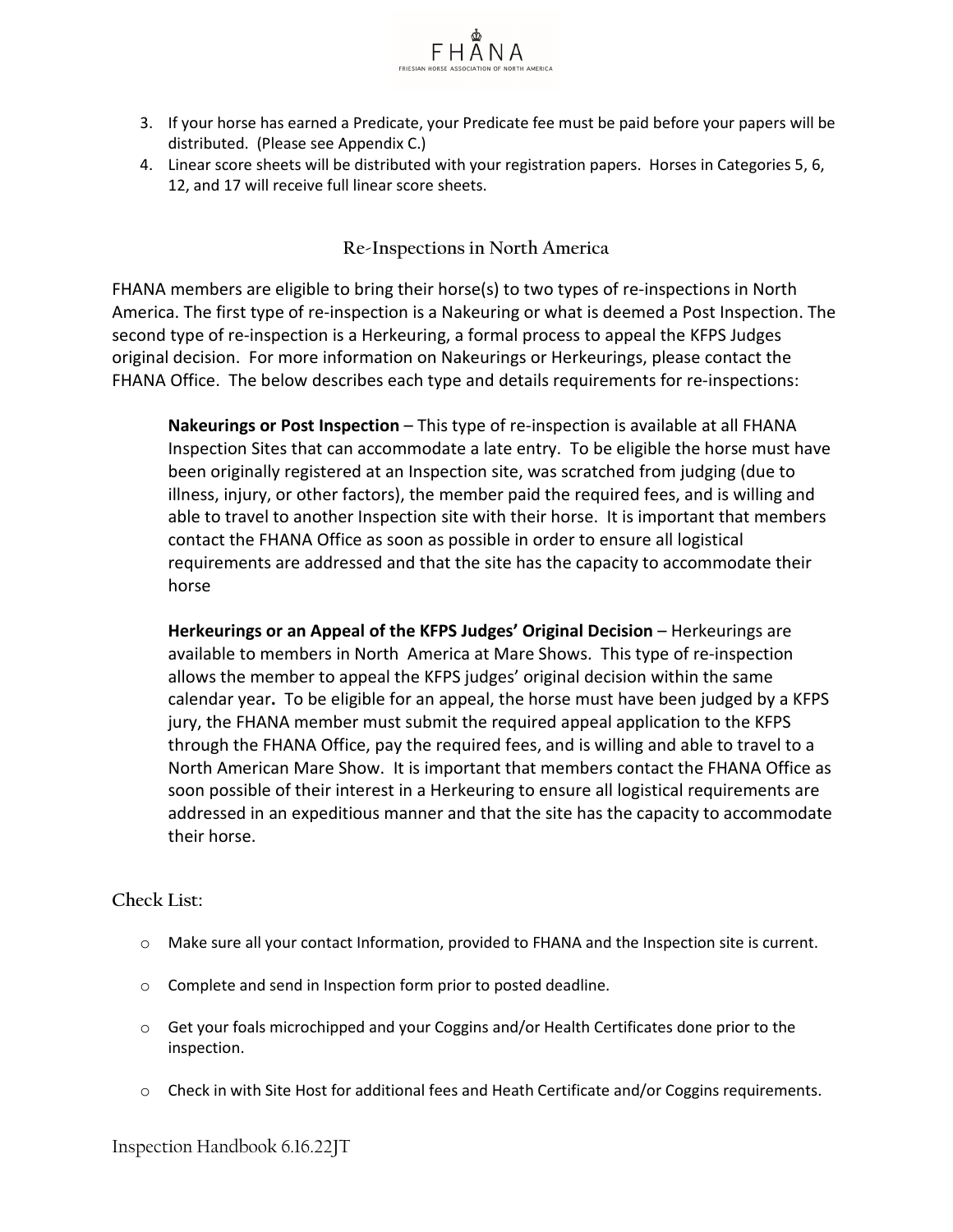

4. Linear score sheets will be distributed with your registration papers. Horses in Categories 5, 6, 12, and 17 will receive full linear score sheets.

# **Re-Inspections in North America**

FHANA members are eligible to bring their horse(s) to two types of re-inspections in North America. The first type of re-inspection is a Nakeuring or what is deemed a Post Inspection. The second type of re-inspection is a Herkeuring, a formal process to appeal the KFPS Judges original decision. For more information on Nakeurings or Herkeurings, please contact the FHANA Office. The below describes each type and details requirements for re-inspections:

**Nakeurings or Post Inspection** – This type of re-inspection is available at all FHANA Inspection Sites that can accommodate a late entry. To be eligible the horse must have been originally registered at an Inspection site, was scratched from judging (due to illness, injury, or other factors), the member paid the required fees, and is willing and able to travel to another Inspection site with their horse. It is important that members contact the FHANA Office as soon as possible in order to ensure all logistical requirements are addressed and that the site has the capacity to accommodate their horse

**Herkeurings or an Appeal of the KFPS Judges' Original Decision** – Herkeurings are available to members in North America at Mare Shows. This type of re-inspection allows the member to appeal the KFPS judges' original decision within the same calendar year**.** To be eligible for an appeal, the horse must have been judged by a KFPS jury, the FHANA member must submit the required appeal application to the KFPS through the FHANA Office, pay the required fees, and is willing and able to travel to a North American Mare Show. It is important that members contact the FHANA Office as soon possible of their interest in a Herkeuring to ensure all logistical requirements are addressed in an expeditious manner and that the site has the capacity to accommodate their horse.

### **Check List:**

- o Make sure all your contact Information, provided to FHANA and the Inspection site is current.
- o Complete and send in Inspection form prior to posted deadline.
- $\circ$  Get your foals microchipped and your Coggins and/or Health Certificates done prior to the inspection.
- o Check in with Site Host for additional fees and Heath Certificate and/or Coggins requirements.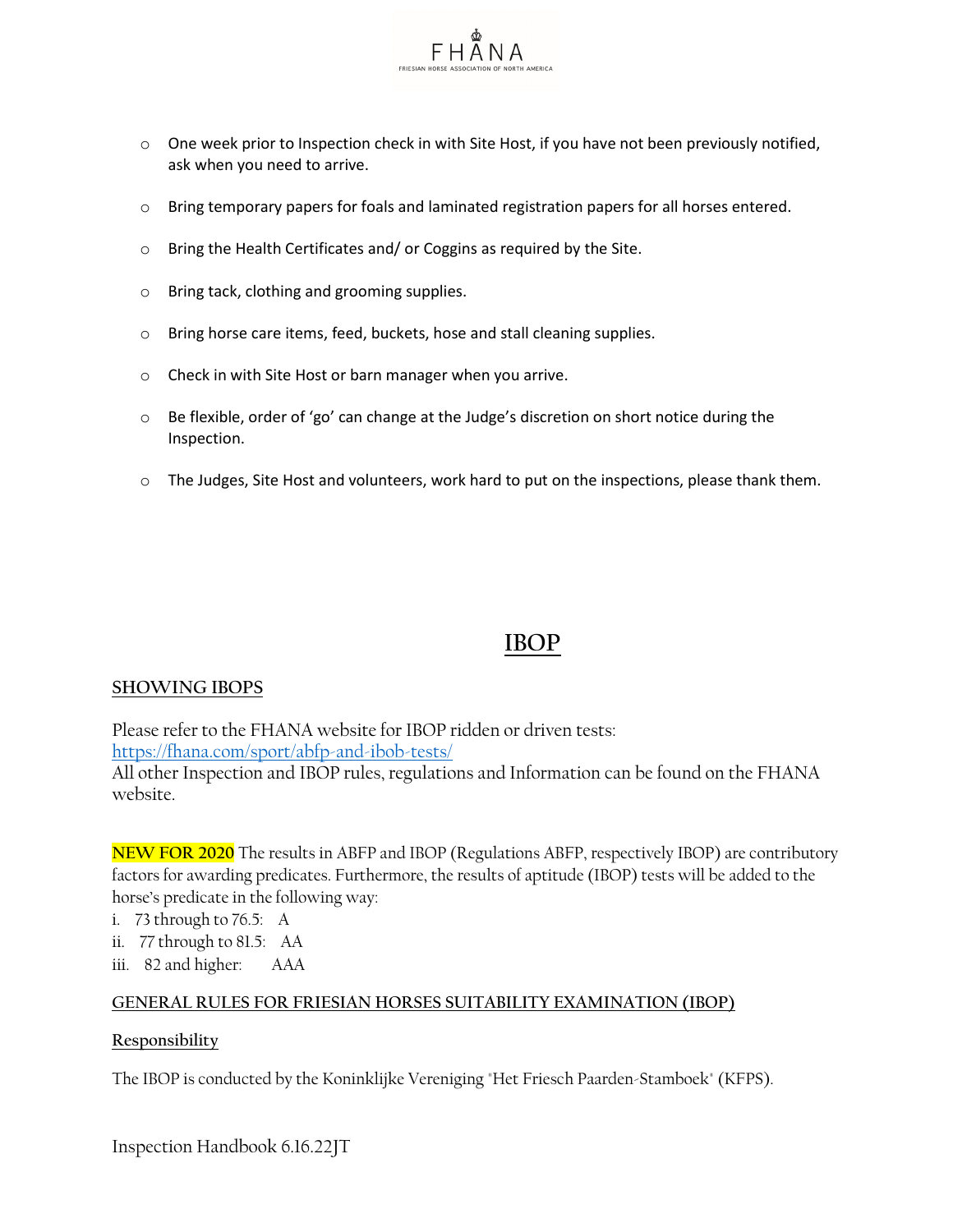

- $\circ$  One week prior to Inspection check in with Site Host, if you have not been previously notified, ask when you need to arrive.
- $\circ$  Bring temporary papers for foals and laminated registration papers for all horses entered.
- o Bring the Health Certificates and/ or Coggins as required by the Site.
- o Bring tack, clothing and grooming supplies.
- o Bring horse care items, feed, buckets, hose and stall cleaning supplies.
- o Check in with Site Host or barn manager when you arrive.
- $\circ$  Be flexible, order of 'go' can change at the Judge's discretion on short notice during the Inspection.
- $\circ$  The Judges, Site Host and volunteers, work hard to put on the inspections, please thank them.

# **IBOP**

### **SHOWING IBOPS**

Please refer to the FHANA website for IBOP ridden or driven tests: <https://fhana.com/sport/abfp-and-ibob-tests/>

All other Inspection and IBOP rules, regulations and Information can be found on the FHANA website.

**NEW FOR 2020** The results in ABFP and IBOP (Regulations ABFP, respectively IBOP) are contributory factors for awarding predicates. Furthermore, the results of aptitude (IBOP) tests will be added to the horse's predicate in the following way:

- i. 73 through to 76.5: A
- ii. 77 through to 81.5: AA
- iii. 82 and higher: AAA

### **GENERAL RULES FOR FRIESIAN HORSES SUITABILITY EXAMINATION (IBOP)**

### **Responsibility**

The IBOP is conducted by the Koninklijke Vereniging "Het Friesch Paarden-Stamboek" (KFPS).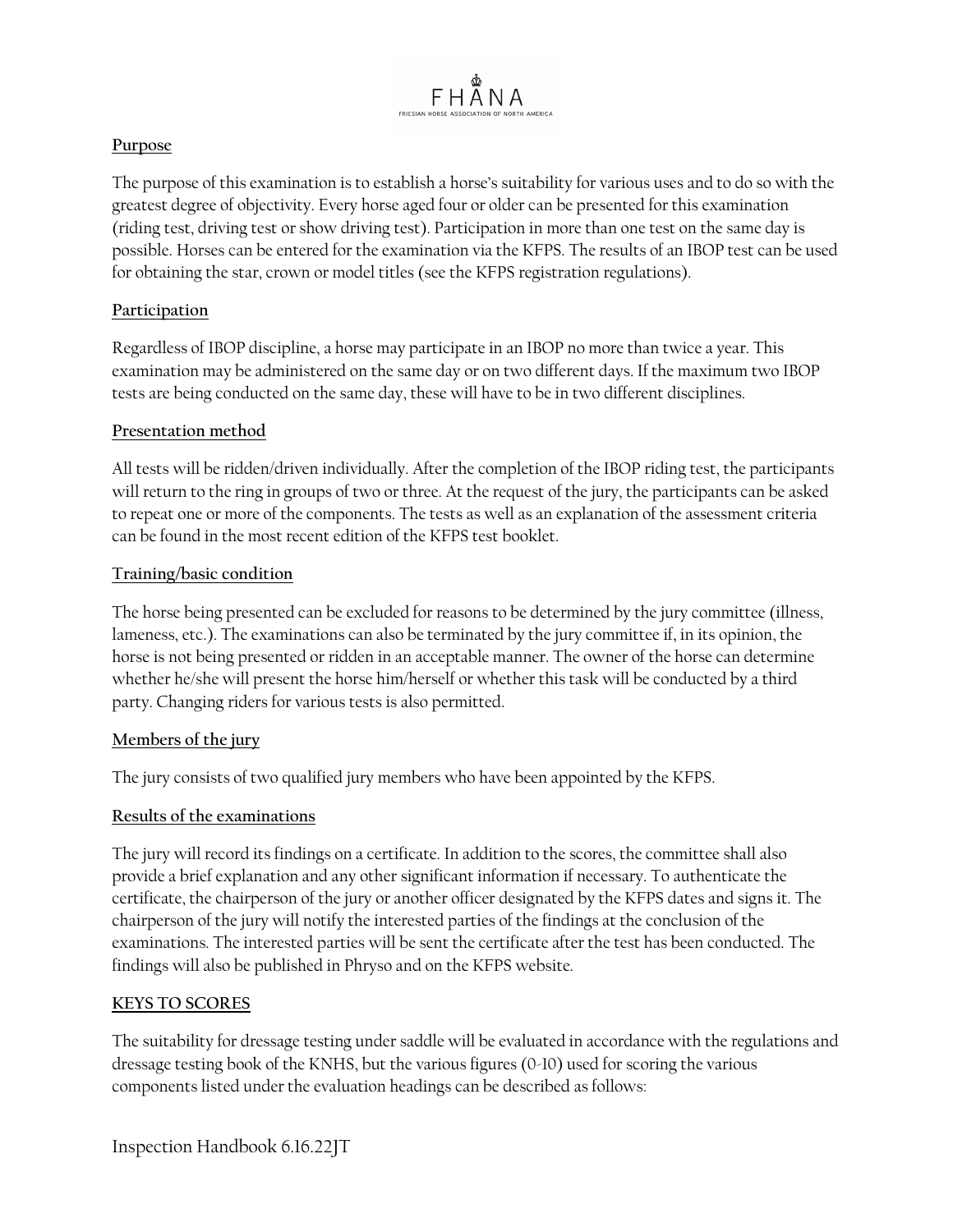

# **Purpose**

The purpose of this examination is to establish a horse's suitability for various uses and to do so with the greatest degree of objectivity. Every horse aged four or older can be presented for this examination (riding test, driving test or show driving test). Participation in more than one test on the same day is possible. Horses can be entered for the examination via the KFPS. The results of an IBOP test can be used for obtaining the star, crown or model titles (see the KFPS registration regulations).

# **Participation**

Regardless of IBOP discipline, a horse may participate in an IBOP no more than twice a year. This examination may be administered on the same day or on two different days. If the maximum two IBOP tests are being conducted on the same day, these will have to be in two different disciplines.

# **Presentation method**

All tests will be ridden/driven individually. After the completion of the IBOP riding test, the participants will return to the ring in groups of two or three. At the request of the jury, the participants can be asked to repeat one or more of the components. The tests as well as an explanation of the assessment criteria can be found in the most recent edition of the KFPS test booklet.

# **Training/basic condition**

The horse being presented can be excluded for reasons to be determined by the jury committee (illness, lameness, etc.). The examinations can also be terminated by the jury committee if, in its opinion, the horse is not being presented or ridden in an acceptable manner. The owner of the horse can determine whether he/she will present the horse him/herself or whether this task will be conducted by a third party. Changing riders for various tests is also permitted.

# **Members of the jury**

The jury consists of two qualified jury members who have been appointed by the KFPS.

### **Results of the examinations**

The jury will record its findings on a certificate. In addition to the scores, the committee shall also provide a brief explanation and any other significant information if necessary. To authenticate the certificate, the chairperson of the jury or another officer designated by the KFPS dates and signs it. The chairperson of the jury will notify the interested parties of the findings at the conclusion of the examinations. The interested parties will be sent the certificate after the test has been conducted. The findings will also be published in Phryso and on the KFPS website.

### **KEYS TO SCORES**

The suitability for dressage testing under saddle will be evaluated in accordance with the regulations and dressage testing book of the KNHS, but the various figures (0-10) used for scoring the various components listed under the evaluation headings can be described as follows: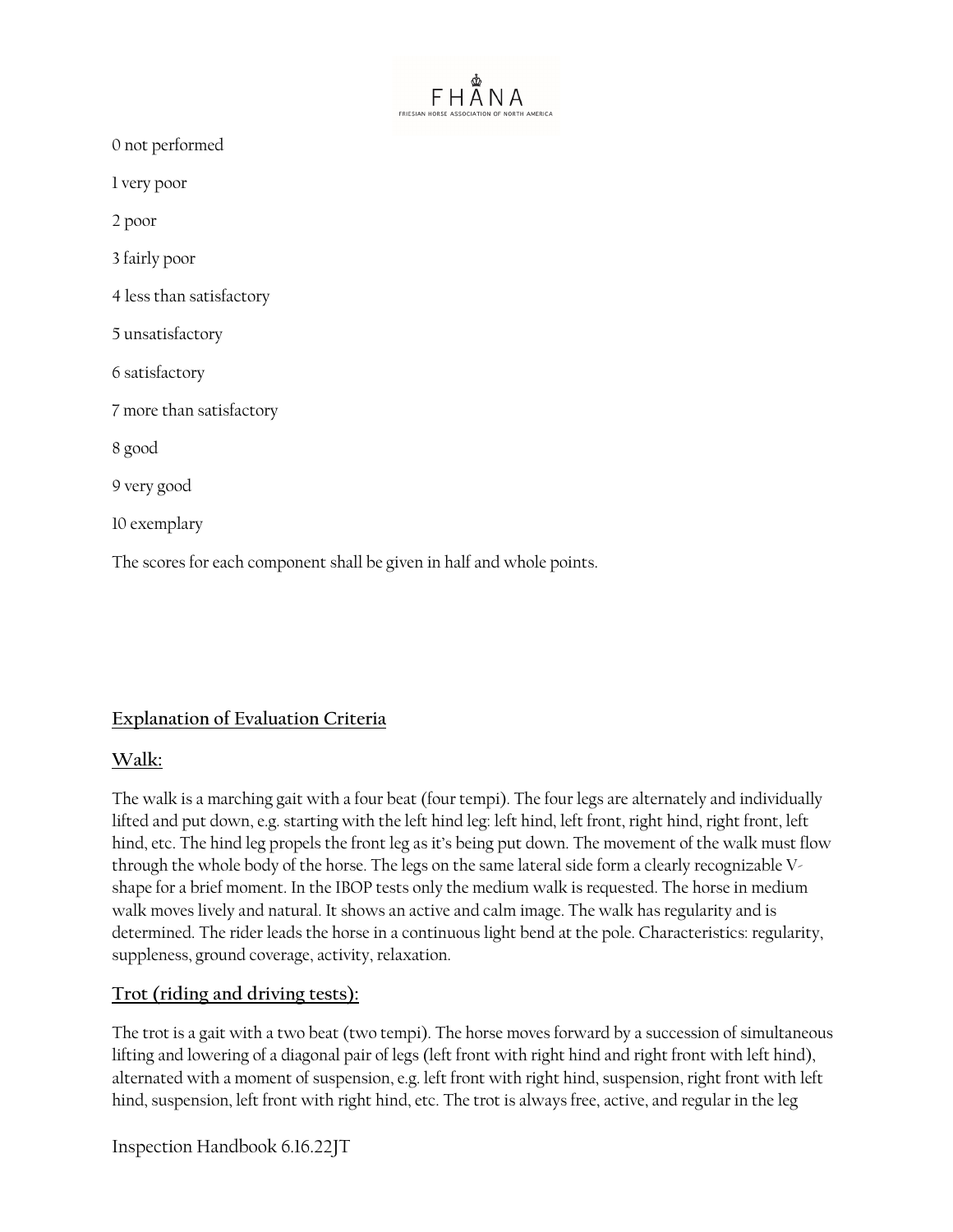| ⅏<br>FRIESIAN HORSE ASSOCIATION OF NORTH AMERICA                       |  |
|------------------------------------------------------------------------|--|
| 0 not performed                                                        |  |
| 1 very poor                                                            |  |
| 2 poor                                                                 |  |
| 3 fairly poor                                                          |  |
| 4 less than satisfactory                                               |  |
| 5 unsatisfactory                                                       |  |
| 6 satisfactory                                                         |  |
| 7 more than satisfactory                                               |  |
| 8 good                                                                 |  |
| 9 very good                                                            |  |
| 10 exemplary                                                           |  |
| The scores for each component shall be given in half and whole points. |  |

# **Explanation of Evaluation Criteria**

# **Walk:**

The walk is a marching gait with a four beat (four tempi). The four legs are alternately and individually lifted and put down, e.g. starting with the left hind leg: left hind, left front, right hind, right front, left hind, etc. The hind leg propels the front leg as it's being put down. The movement of the walk must flow through the whole body of the horse. The legs on the same lateral side form a clearly recognizable Vshape for a brief moment. In the IBOP tests only the medium walk is requested. The horse in medium walk moves lively and natural. It shows an active and calm image. The walk has regularity and is determined. The rider leads the horse in a continuous light bend at the pole. Characteristics: regularity, suppleness, ground coverage, activity, relaxation.

# **Trot (riding and driving tests):**

The trot is a gait with a two beat (two tempi). The horse moves forward by a succession of simultaneous lifting and lowering of a diagonal pair of legs (left front with right hind and right front with left hind), alternated with a moment of suspension, e.g. left front with right hind, suspension, right front with left hind, suspension, left front with right hind, etc. The trot is always free, active, and regular in the leg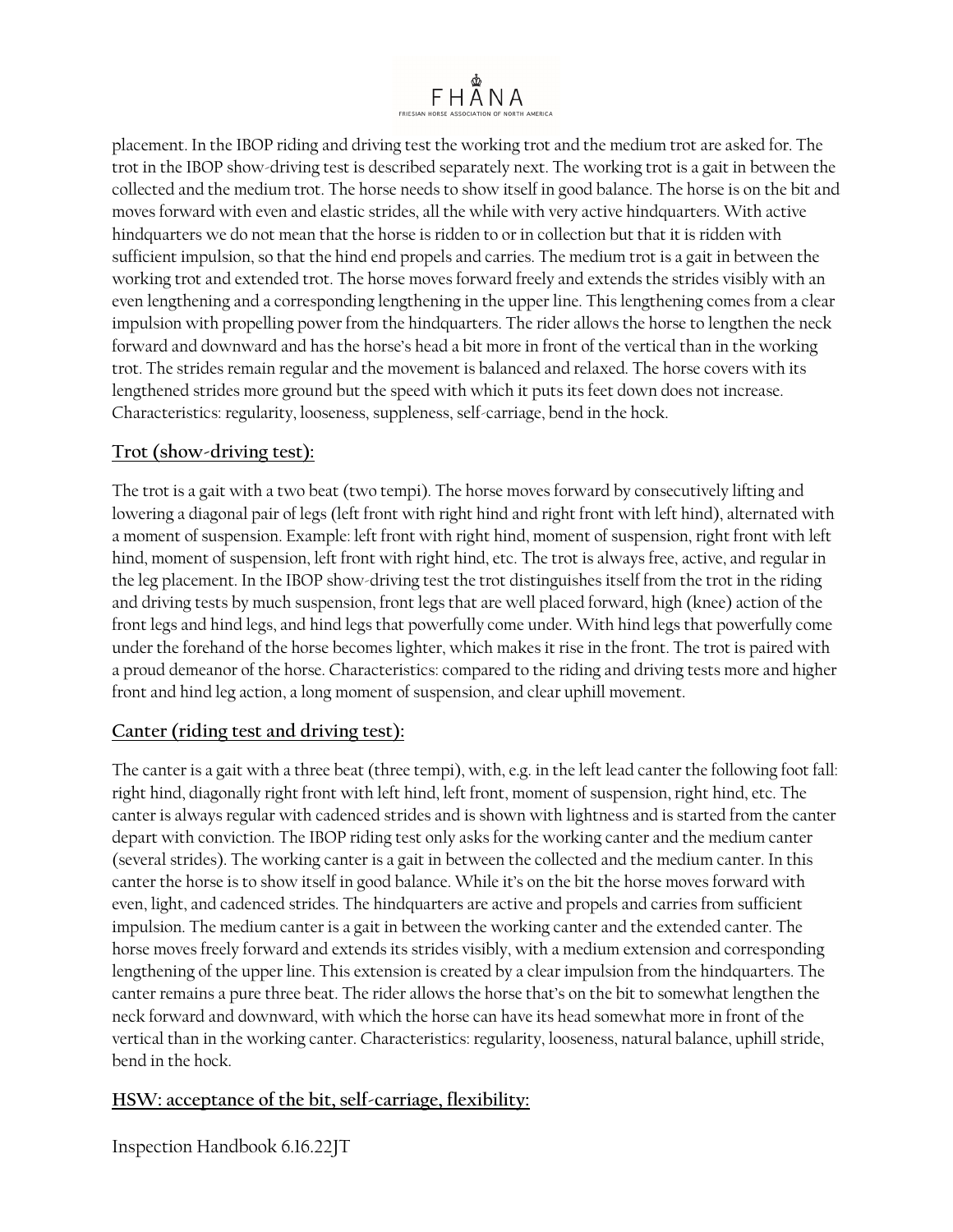

placement. In the IBOP riding and driving test the working trot and the medium trot are asked for. The trot in the IBOP show-driving test is described separately next. The working trot is a gait in between the collected and the medium trot. The horse needs to show itself in good balance. The horse is on the bit and moves forward with even and elastic strides, all the while with very active hindquarters. With active hindquarters we do not mean that the horse is ridden to or in collection but that it is ridden with sufficient impulsion, so that the hind end propels and carries. The medium trot is a gait in between the working trot and extended trot. The horse moves forward freely and extends the strides visibly with an even lengthening and a corresponding lengthening in the upper line. This lengthening comes from a clear impulsion with propelling power from the hindquarters. The rider allows the horse to lengthen the neck forward and downward and has the horse's head a bit more in front of the vertical than in the working trot. The strides remain regular and the movement is balanced and relaxed. The horse covers with its lengthened strides more ground but the speed with which it puts its feet down does not increase. Characteristics: regularity, looseness, suppleness, self-carriage, bend in the hock.

# **Trot (show-driving test):**

The trot is a gait with a two beat (two tempi). The horse moves forward by consecutively lifting and lowering a diagonal pair of legs (left front with right hind and right front with left hind), alternated with a moment of suspension. Example: left front with right hind, moment of suspension, right front with left hind, moment of suspension, left front with right hind, etc. The trot is always free, active, and regular in the leg placement. In the IBOP show-driving test the trot distinguishes itself from the trot in the riding and driving tests by much suspension, front legs that are well placed forward, high (knee) action of the front legs and hind legs, and hind legs that powerfully come under. With hind legs that powerfully come under the forehand of the horse becomes lighter, which makes it rise in the front. The trot is paired with a proud demeanor of the horse. Characteristics: compared to the riding and driving tests more and higher front and hind leg action, a long moment of suspension, and clear uphill movement.

# **Canter (riding test and driving test):**

The canter is a gait with a three beat (three tempi), with, e.g. in the left lead canter the following foot fall: right hind, diagonally right front with left hind, left front, moment of suspension, right hind, etc. The canter is always regular with cadenced strides and is shown with lightness and is started from the canter depart with conviction. The IBOP riding test only asks for the working canter and the medium canter (several strides). The working canter is a gait in between the collected and the medium canter. In this canter the horse is to show itself in good balance. While it's on the bit the horse moves forward with even, light, and cadenced strides. The hindquarters are active and propels and carries from sufficient impulsion. The medium canter is a gait in between the working canter and the extended canter. The horse moves freely forward and extends its strides visibly, with a medium extension and corresponding lengthening of the upper line. This extension is created by a clear impulsion from the hindquarters. The canter remains a pure three beat. The rider allows the horse that's on the bit to somewhat lengthen the neck forward and downward, with which the horse can have its head somewhat more in front of the vertical than in the working canter. Characteristics: regularity, looseness, natural balance, uphill stride, bend in the hock.

# **HSW: acceptance of the bit, self-carriage, flexibility:**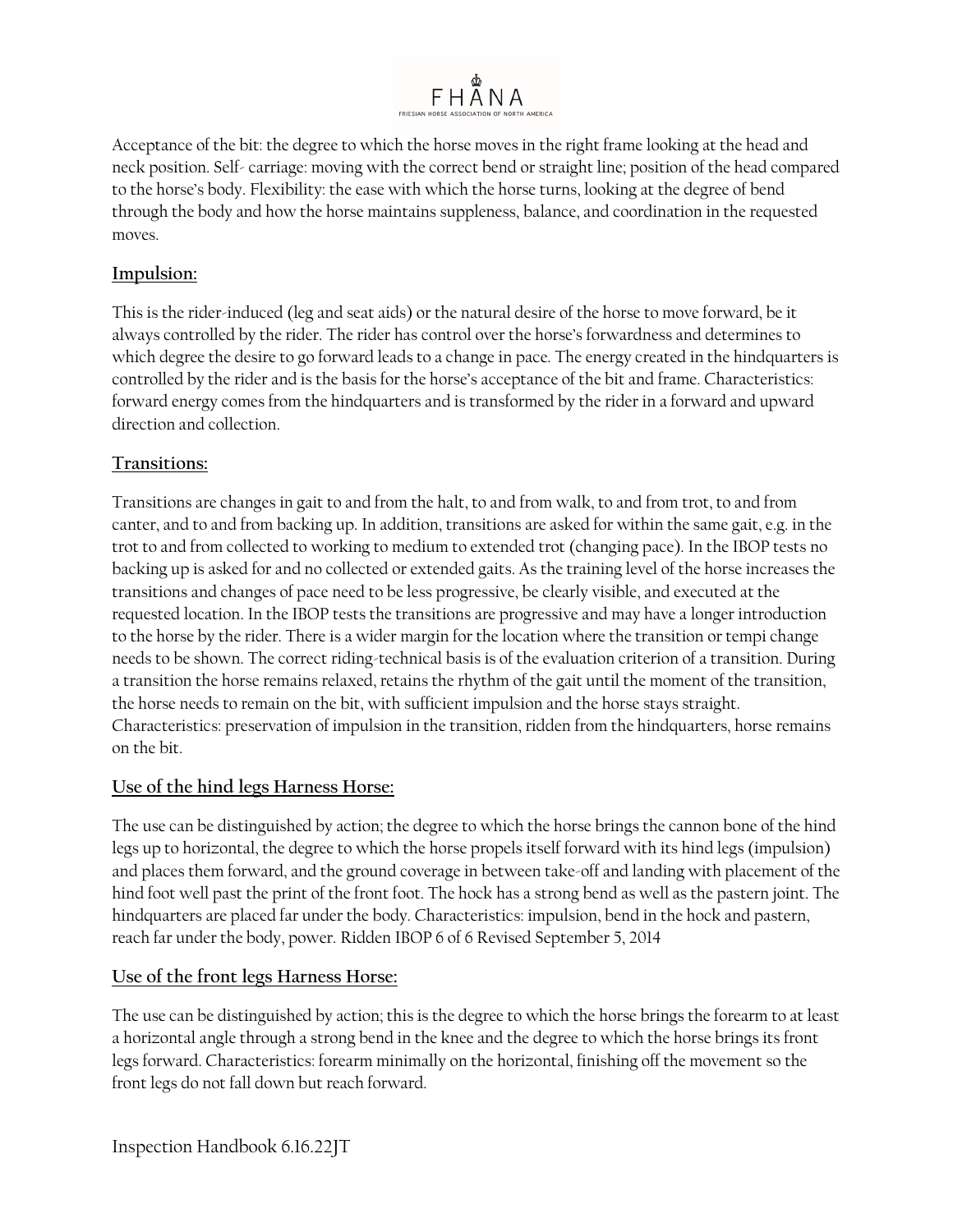

Acceptance of the bit: the degree to which the horse moves in the right frame looking at the head and neck position. Self- carriage: moving with the correct bend or straight line; position of the head compared to the horse's body. Flexibility: the ease with which the horse turns, looking at the degree of bend through the body and how the horse maintains suppleness, balance, and coordination in the requested moves.

# **Impulsion:**

This is the rider-induced (leg and seat aids) or the natural desire of the horse to move forward, be it always controlled by the rider. The rider has control over the horse's forwardness and determines to which degree the desire to go forward leads to a change in pace. The energy created in the hindquarters is controlled by the rider and is the basis for the horse's acceptance of the bit and frame. Characteristics: forward energy comes from the hindquarters and is transformed by the rider in a forward and upward direction and collection.

# **Transitions:**

Transitions are changes in gait to and from the halt, to and from walk, to and from trot, to and from canter, and to and from backing up. In addition, transitions are asked for within the same gait, e.g. in the trot to and from collected to working to medium to extended trot (changing pace). In the IBOP tests no backing up is asked for and no collected or extended gaits. As the training level of the horse increases the transitions and changes of pace need to be less progressive, be clearly visible, and executed at the requested location. In the IBOP tests the transitions are progressive and may have a longer introduction to the horse by the rider. There is a wider margin for the location where the transition or tempi change needs to be shown. The correct riding-technical basis is of the evaluation criterion of a transition. During a transition the horse remains relaxed, retains the rhythm of the gait until the moment of the transition, the horse needs to remain on the bit, with sufficient impulsion and the horse stays straight. Characteristics: preservation of impulsion in the transition, ridden from the hindquarters, horse remains on the bit.

# **Use of the hind legs Harness Horse:**

The use can be distinguished by action; the degree to which the horse brings the cannon bone of the hind legs up to horizontal, the degree to which the horse propels itself forward with its hind legs (impulsion) and places them forward, and the ground coverage in between take-off and landing with placement of the hind foot well past the print of the front foot. The hock has a strong bend as well as the pastern joint. The hindquarters are placed far under the body. Characteristics: impulsion, bend in the hock and pastern, reach far under the body, power. Ridden IBOP 6 of 6 Revised September 5, 2014

# **Use of the front legs Harness Horse:**

The use can be distinguished by action; this is the degree to which the horse brings the forearm to at least a horizontal angle through a strong bend in the knee and the degree to which the horse brings its front legs forward. Characteristics: forearm minimally on the horizontal, finishing off the movement so the front legs do not fall down but reach forward.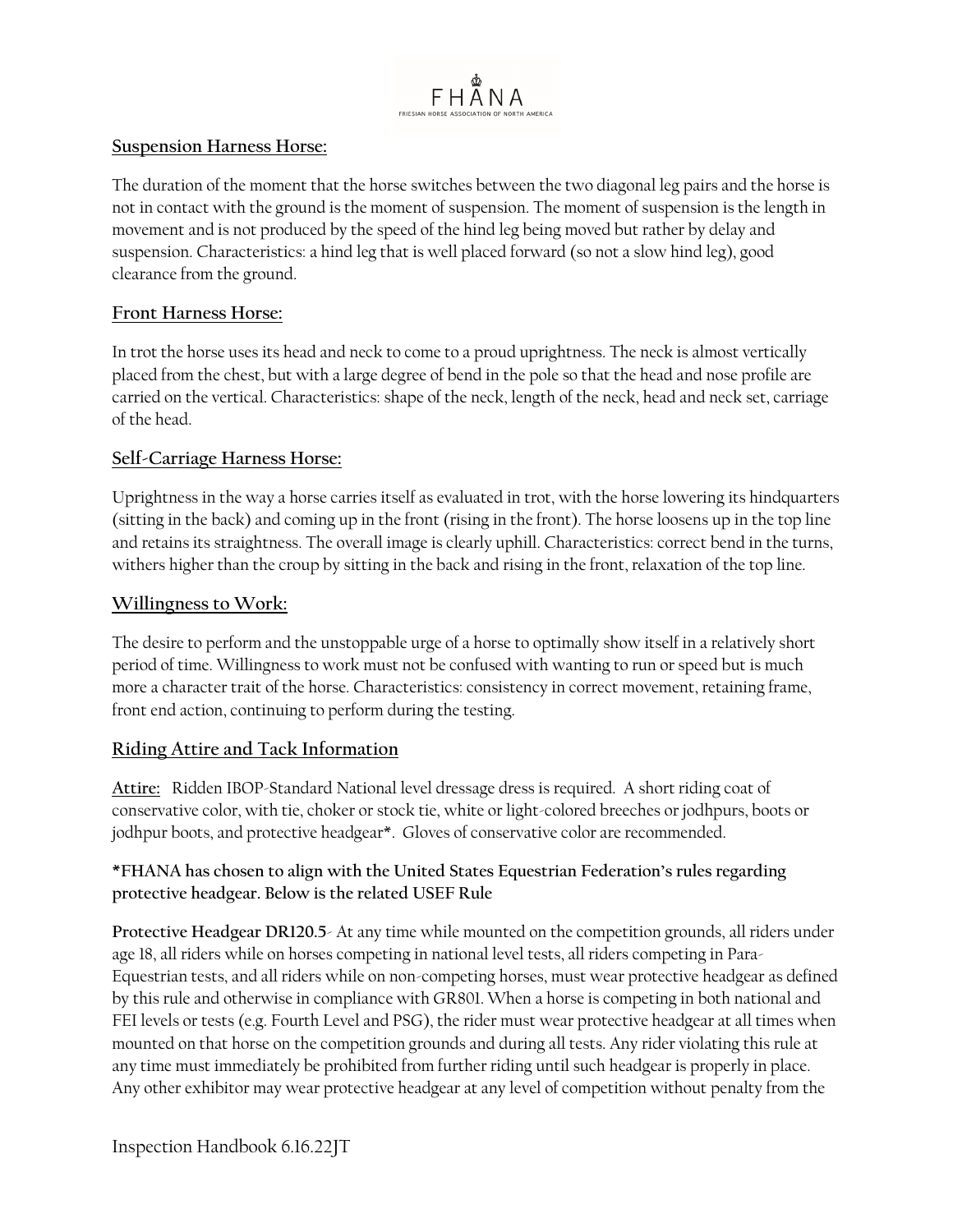

# **Suspension Harness Horse:**

The duration of the moment that the horse switches between the two diagonal leg pairs and the horse is not in contact with the ground is the moment of suspension. The moment of suspension is the length in movement and is not produced by the speed of the hind leg being moved but rather by delay and suspension. Characteristics: a hind leg that is well placed forward (so not a slow hind leg), good clearance from the ground.

# **Front Harness Horse:**

In trot the horse uses its head and neck to come to a proud uprightness. The neck is almost vertically placed from the chest, but with a large degree of bend in the pole so that the head and nose profile are carried on the vertical. Characteristics: shape of the neck, length of the neck, head and neck set, carriage of the head.

# **Self-Carriage Harness Horse:**

Uprightness in the way a horse carries itself as evaluated in trot, with the horse lowering its hindquarters (sitting in the back) and coming up in the front (rising in the front). The horse loosens up in the top line and retains its straightness. The overall image is clearly uphill. Characteristics: correct bend in the turns, withers higher than the croup by sitting in the back and rising in the front, relaxation of the top line.

### **Willingness to Work:**

The desire to perform and the unstoppable urge of a horse to optimally show itself in a relatively short period of time. Willingness to work must not be confused with wanting to run or speed but is much more a character trait of the horse. Characteristics: consistency in correct movement, retaining frame, front end action, continuing to perform during the testing.

# **Riding Attire and Tack Information**

**Attire:** Ridden IBOP-Standard National level dressage dress is required. A short riding coat of conservative color, with tie, choker or stock tie, white or light-colored breeches or jodhpurs, boots or jodhpur boots, and protective headgear\*. Gloves of conservative color are recommended.

# **\*FHANA has chosen to align with the United States Equestrian Federation's rules regarding protective headgear. Below is the related USEF Rule**

**Protective Headgear DR120.5**- At any time while mounted on the competition grounds, all riders under age 18, all riders while on horses competing in national level tests, all riders competing in Para-Equestrian tests, and all riders while on non-competing horses, must wear protective headgear as defined by this rule and otherwise in compliance with GR801. When a horse is competing in both national and FEI levels or tests (e.g. Fourth Level and PSG), the rider must wear protective headgear at all times when mounted on that horse on the competition grounds and during all tests. Any rider violating this rule at any time must immediately be prohibited from further riding until such headgear is properly in place. Any other exhibitor may wear protective headgear at any level of competition without penalty from the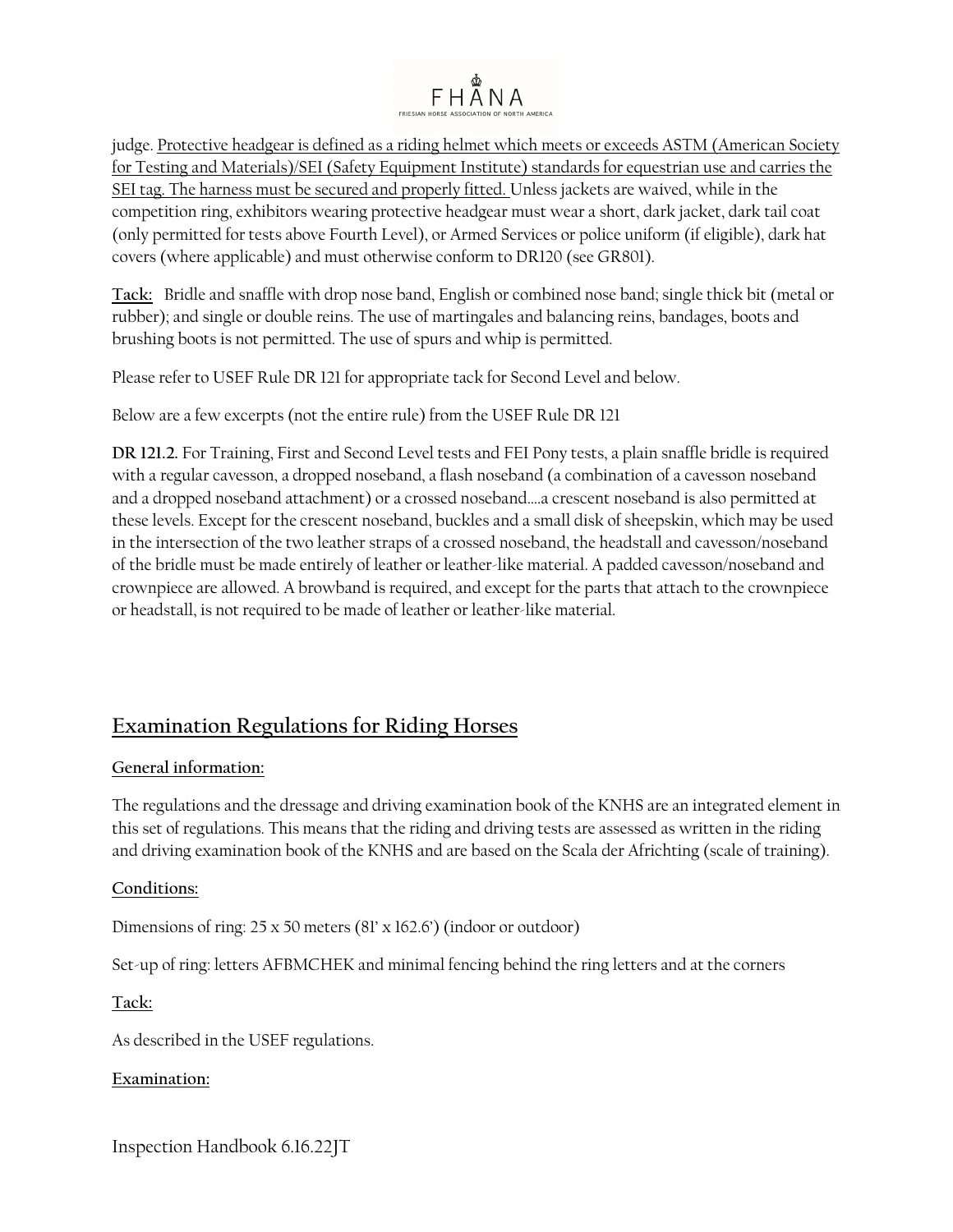# FHÅNA

judge. Protective headgear is defined as a riding helmet which meets or exceeds ASTM (American Society for Testing and Materials)/SEI (Safety Equipment Institute) standards for equestrian use and carries the SEI tag. The harness must be secured and properly fitted. Unless jackets are waived, while in the competition ring, exhibitors wearing protective headgear must wear a short, dark jacket, dark tail coat (only permitted for tests above Fourth Level), or Armed Services or police uniform (if eligible), dark hat covers (where applicable) and must otherwise conform to DR120 (see GR801).

**Tack:** Bridle and snaffle with drop nose band, English or combined nose band; single thick bit (metal or rubber); and single or double reins. The use of martingales and balancing reins, bandages, boots and brushing boots is not permitted. The use of spurs and whip is permitted.

Please refer to USEF Rule DR 121 for appropriate tack for Second Level and below.

Below are a few excerpts (not the entire rule) from the USEF Rule DR 121

**DR 121.2.** For Training, First and Second Level tests and FEI Pony tests, a plain snaffle bridle is required with a regular cavesson, a dropped noseband, a flash noseband (a combination of a cavesson noseband and a dropped noseband attachment) or a crossed noseband….a crescent noseband is also permitted at these levels. Except for the crescent noseband, buckles and a small disk of sheepskin, which may be used in the intersection of the two leather straps of a crossed noseband, the headstall and cavesson/noseband of the bridle must be made entirely of leather or leather-like material. A padded cavesson/noseband and crownpiece are allowed. A browband is required, and except for the parts that attach to the crownpiece or headstall, is not required to be made of leather or leather-like material.

# **Examination Regulations for Riding Horses**

# **General information:**

The regulations and the dressage and driving examination book of the KNHS are an integrated element in this set of regulations. This means that the riding and driving tests are assessed as written in the riding and driving examination book of the KNHS and are based on the Scala der Africhting (scale of training).

### **Conditions:**

Dimensions of ring: 25 x 50 meters (81' x 162.6') (indoor or outdoor)

Set-up of ring: letters AFBMCHEK and minimal fencing behind the ring letters and at the corners

### **Tack:**

As described in the USEF regulations.

### **Examination:**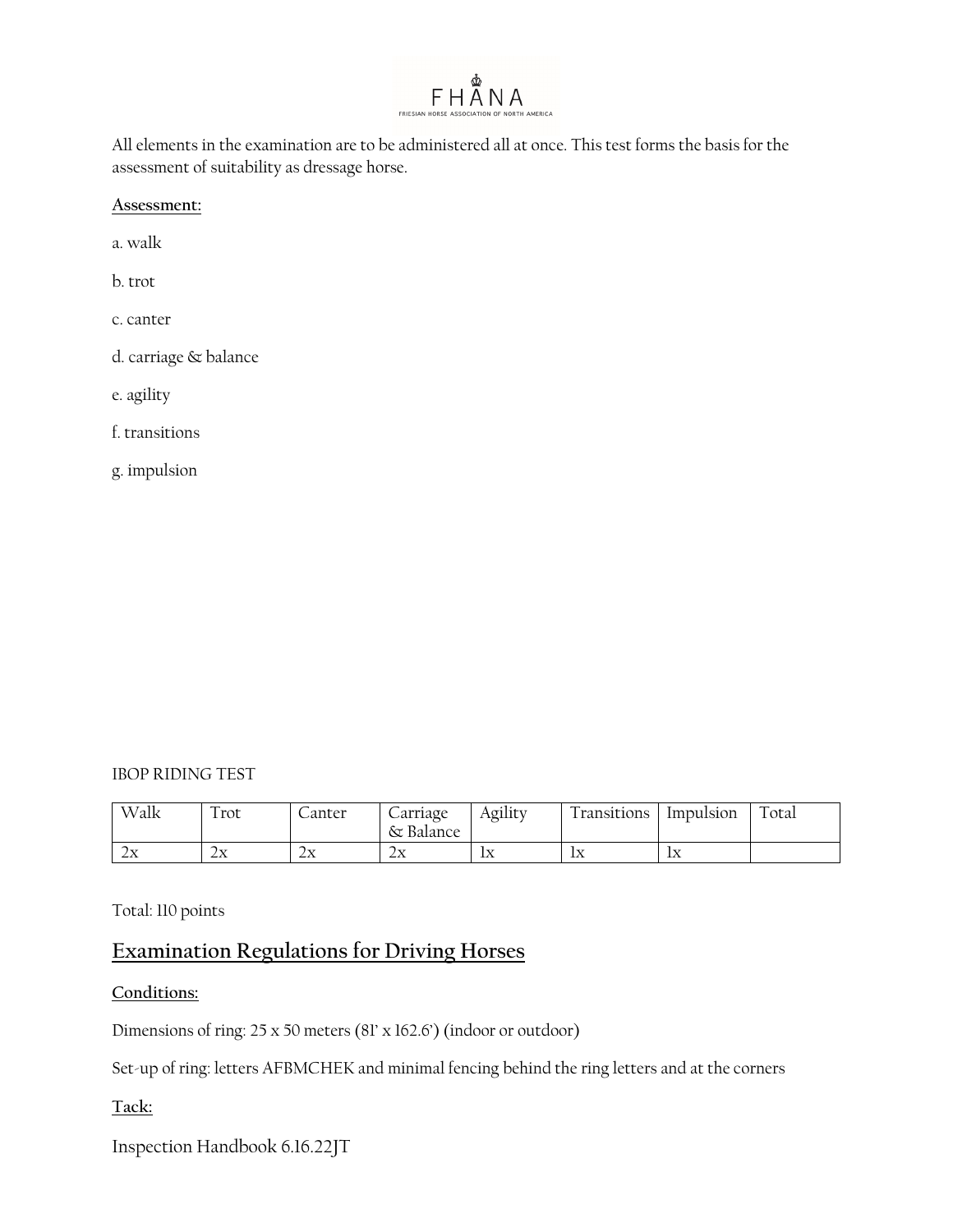

All elements in the examination are to be administered all at once. This test forms the basis for the assessment of suitability as dressage horse.

**Assessment:** 

a. walk

b. trot

c. canter

d. carriage & balance

e. agility

f. transitions

g. impulsion

#### IBOP RIDING TEST

| Walk      | $\overline{\phantom{0}}$<br>1 rot                       | Janter        | Carriage<br>Balance<br>δτ        | Agility | $\overline{\phantom{a}}$<br>l ransitions | Impulsion  | $\overline{\phantom{0}}$<br>otal |
|-----------|---------------------------------------------------------|---------------|----------------------------------|---------|------------------------------------------|------------|----------------------------------|
| : ד<br>∠∆ | $\overline{\phantom{1}}$<br>$1 - 7$<br>$\angle \Lambda$ | $7 - 7$<br>∠∆ | ∽<br>$1 - 7$<br>$\angle \Lambda$ | ĪХ      | l – –<br>TΩ                              | l xz<br>TΩ |                                  |

Total: 110 points

# **Examination Regulations for Driving Horses**

**Conditions:** 

Dimensions of ring: 25 x 50 meters (81' x 162.6') (indoor or outdoor)

Set-up of ring: letters AFBMCHEK and minimal fencing behind the ring letters and at the corners

**Tack:**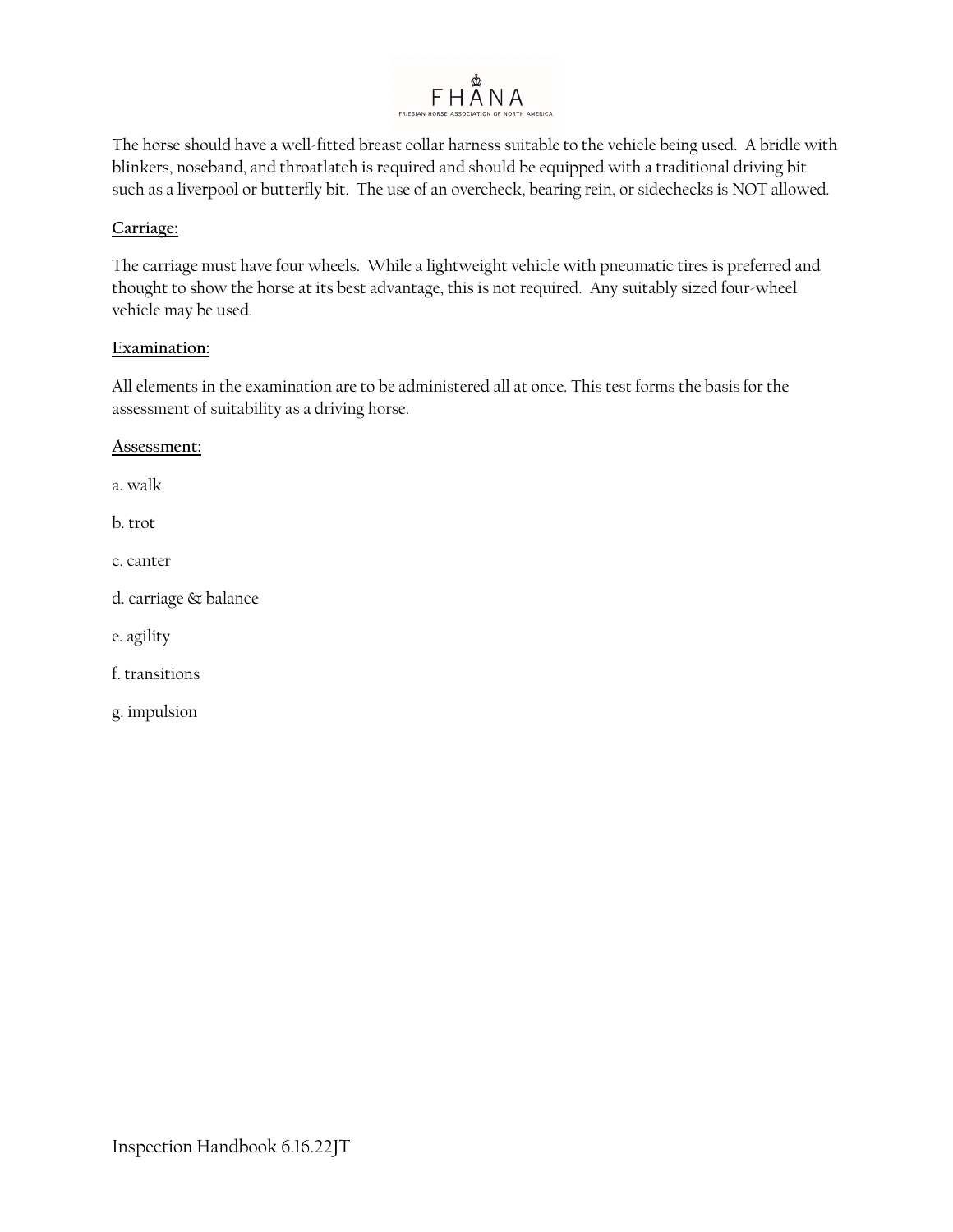

The horse should have a well-fitted breast collar harness suitable to the vehicle being used. A bridle with blinkers, noseband, and throatlatch is required and should be equipped with a traditional driving bit such as a liverpool or butterfly bit. The use of an overcheck, bearing rein, or sidechecks is NOT allowed.

# **Carriage:**

The carriage must have four wheels. While a lightweight vehicle with pneumatic tires is preferred and thought to show the horse at its best advantage, this is not required. Any suitably sized four-wheel vehicle may be used.

### **Examination:**

All elements in the examination are to be administered all at once. This test forms the basis for the assessment of suitability as a driving horse.

#### **Assessment:**

a. walk

b. trot

c. canter

d. carriage & balance

e. agility

f. transitions

g. impulsion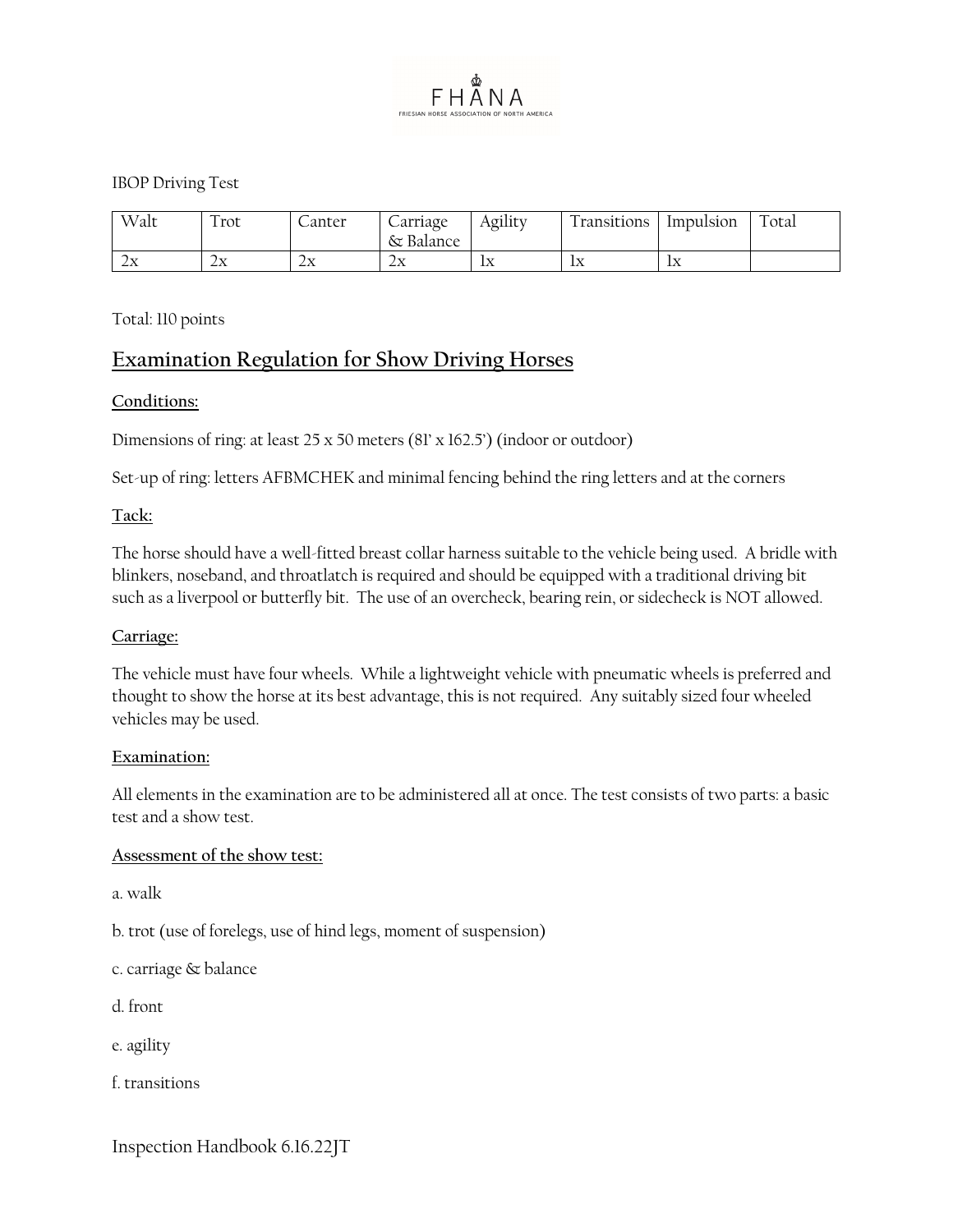

#### IBOP Driving Test

| Walt      | 1 rot          | Lanter     | arriage -<br>δτ<br>Balance | Agility                                      | l ransitions | Impulsion | $\sim$<br>otal |
|-----------|----------------|------------|----------------------------|----------------------------------------------|--------------|-----------|----------------|
| . .<br>∠△ | ⌒<br>:די<br>∠∆ | יד ו<br>∠∆ | יד נ<br>∠∆                 | $\mathbf{I}$<br>$\mathbf{L}\mathbf{\Lambda}$ | יד ו<br>TΩ   | $-$<br>TΩ |                |

#### Total: 110 points

# **Examination Regulation for Show Driving Horses**

#### **Conditions:**

Dimensions of ring: at least 25 x 50 meters (81' x 162.5') (indoor or outdoor)

Set-up of ring: letters AFBMCHEK and minimal fencing behind the ring letters and at the corners

#### **Tack:**

The horse should have a well-fitted breast collar harness suitable to the vehicle being used. A bridle with blinkers, noseband, and throatlatch is required and should be equipped with a traditional driving bit such as a liverpool or butterfly bit. The use of an overcheck, bearing rein, or sidecheck is NOT allowed.

#### **Carriage:**

The vehicle must have four wheels. While a lightweight vehicle with pneumatic wheels is preferred and thought to show the horse at its best advantage, this is not required. Any suitably sized four wheeled vehicles may be used.

#### **Examination:**

All elements in the examination are to be administered all at once. The test consists of two parts: a basic test and a show test.

#### **Assessment of the show test:**

a. walk

b. trot (use of forelegs, use of hind legs, moment of suspension)

- c. carriage & balance
- d. front
- e. agility
- f. transitions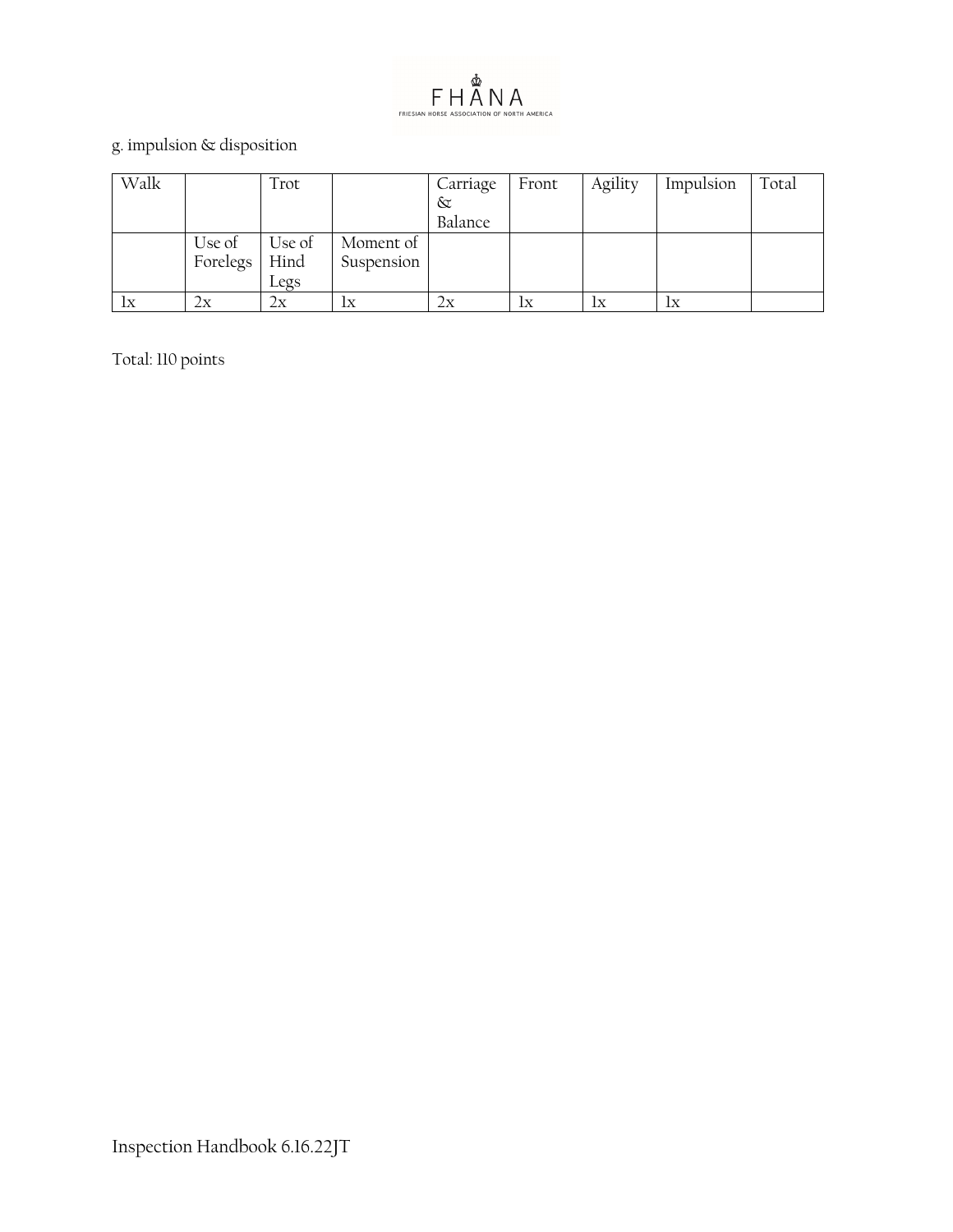

# g. impulsion  $\&$  disposition

| Walk  |          | Trot   |            | Carriage | Front | Agility | Impulsion | Total |
|-------|----------|--------|------------|----------|-------|---------|-----------|-------|
|       |          |        |            | $\infty$ |       |         |           |       |
|       |          |        |            | Balance  |       |         |           |       |
|       | Use of   | Use of | Moment of  |          |       |         |           |       |
|       | Forelegs | Hind   | Suspension |          |       |         |           |       |
|       |          | Legs   |            |          |       |         |           |       |
| $l$ x | 2x       | 2х     | lх         | 2x       | 1x    | lх      | lx        |       |

Total: 110 points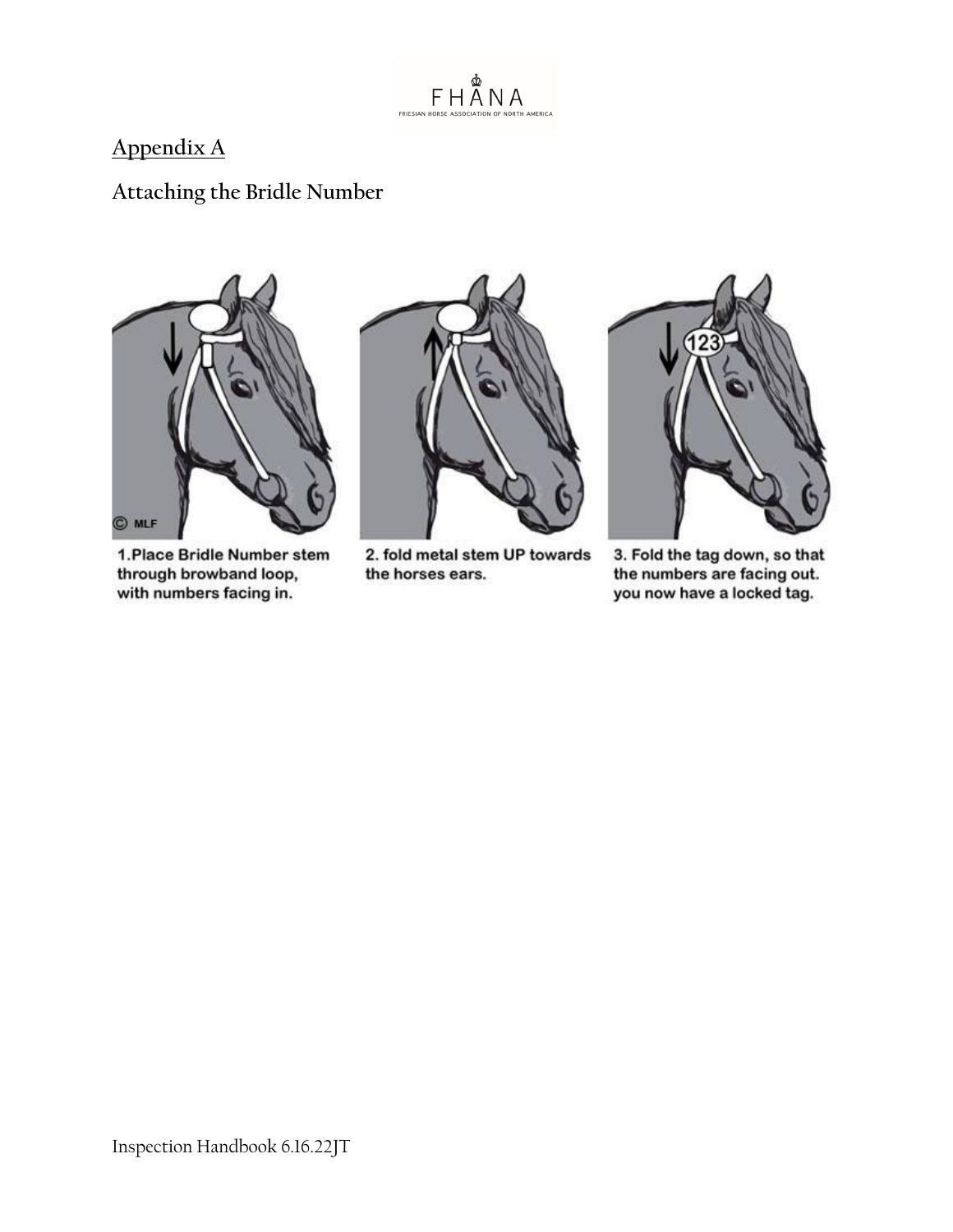

# **Appendix A**

# **Attaching the Bridle Number**



1. Place Bridle Number stem through browband loop, with numbers facing in.



2. fold metal stem UP towards the horses ears.



3. Fold the tag down, so that the numbers are facing out. you now have a locked tag.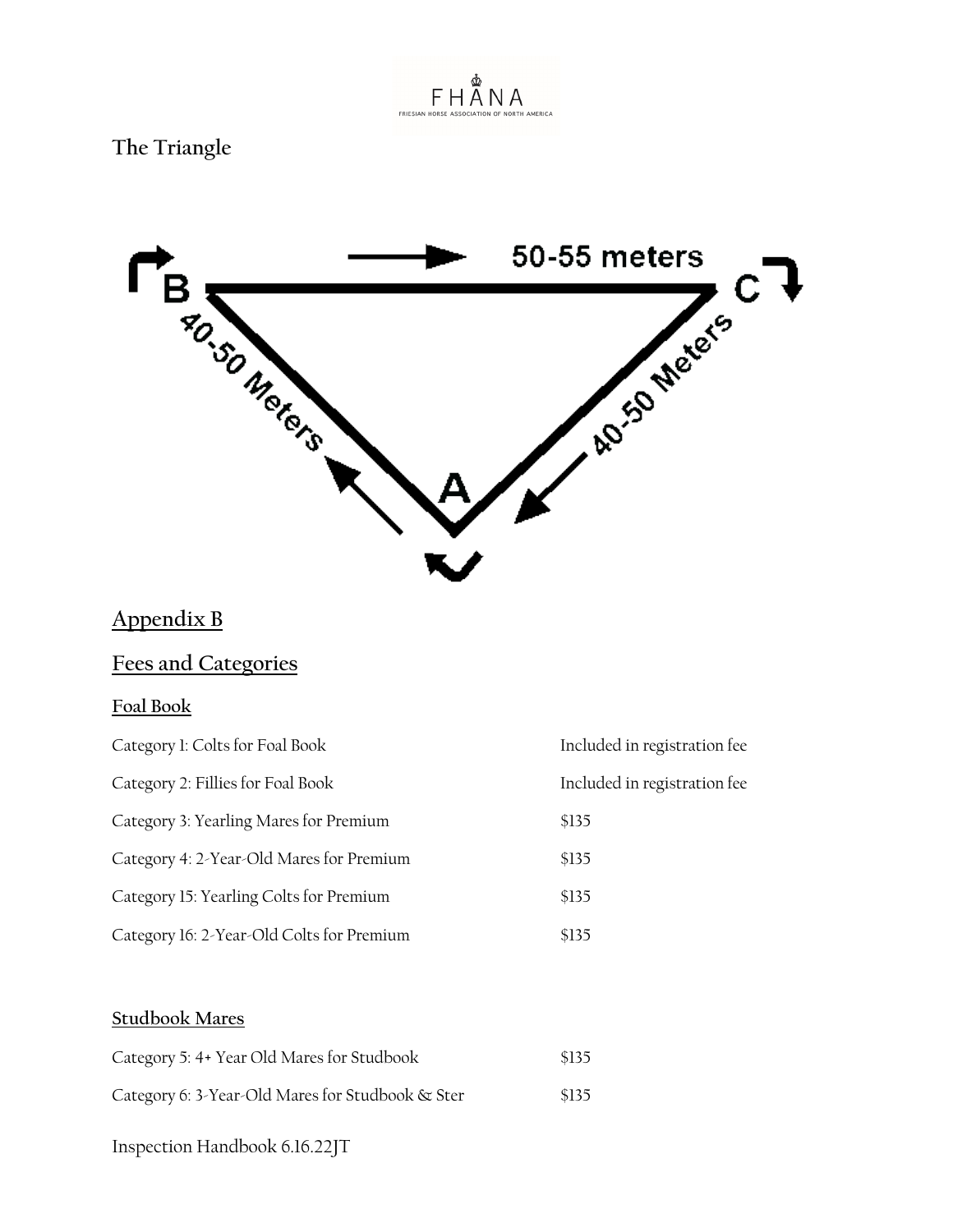

# **The Triangle**



# **Appendix B**

# **Fees and Categories**

# **Foal Book**

| Category 1: Colts for Foal Book           | Included in registration fee |
|-------------------------------------------|------------------------------|
| Category 2: Fillies for Foal Book         | Included in registration fee |
| Category 3: Yearling Mares for Premium    | \$135                        |
| Category 4: 2-Year-Old Mares for Premium  | \$135                        |
| Category 15: Yearling Colts for Premium   | \$135                        |
| Category 16: 2-Year-Old Colts for Premium | \$135                        |
|                                           |                              |

# **Studbook Mares**

| Category 5: 4+ Year Old Mares for Studbook       | \$135 |
|--------------------------------------------------|-------|
| Category 6: 3-Year-Old Mares for Studbook & Ster | \$135 |
| Inspection Handbook 6.16.22JT                    |       |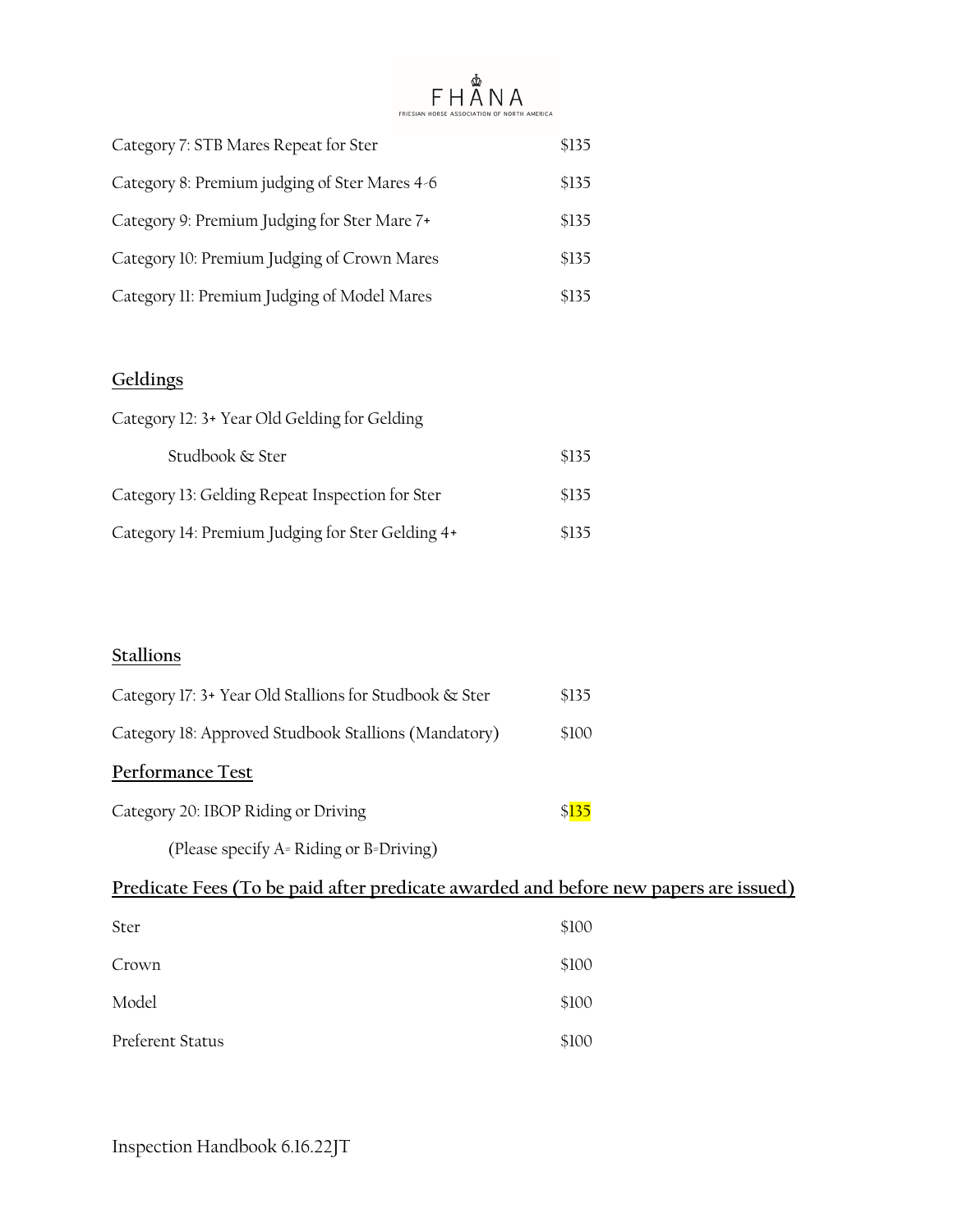#### FHÅNA MERICA FRIESIAN HORSE

| Category 7: STB Mares Repeat for Ster         | \$135 |
|-----------------------------------------------|-------|
| Category 8: Premium judging of Ster Mares 4-6 | \$135 |
| Category 9: Premium Judging for Ster Mare 7+  | \$135 |
| Category 10: Premium Judging of Crown Mares   | \$135 |
| Category II: Premium Judging of Model Mares   | \$135 |

# **Geldings**

| Category 12: 3+ Year Old Gelding for Gelding     |       |
|--------------------------------------------------|-------|
| Studbook & Ster                                  | \$135 |
| Category 13: Gelding Repeat Inspection for Ster  | \$135 |
| Category 14: Premium Judging for Ster Gelding 4+ | \$135 |

# **Stallions**

| Category 17: 3+ Year Old Stallions for Studbook & Ster | \$135 |
|--------------------------------------------------------|-------|
| Category 18: Approved Studbook Stallions (Mandatory)   | \$100 |
| Performance Test                                       |       |
| Category 20: IBOP Riding or Driving                    | \$135 |
| (Please specify A= Riding or B=Driving)                |       |
|                                                        |       |

# **Predicate Fees (To be paid after predicate awarded and before new papers are issued)**

| Ster             | \$100 |
|------------------|-------|
| Crown            | \$100 |
| Model            | \$100 |
| Preferent Status | \$100 |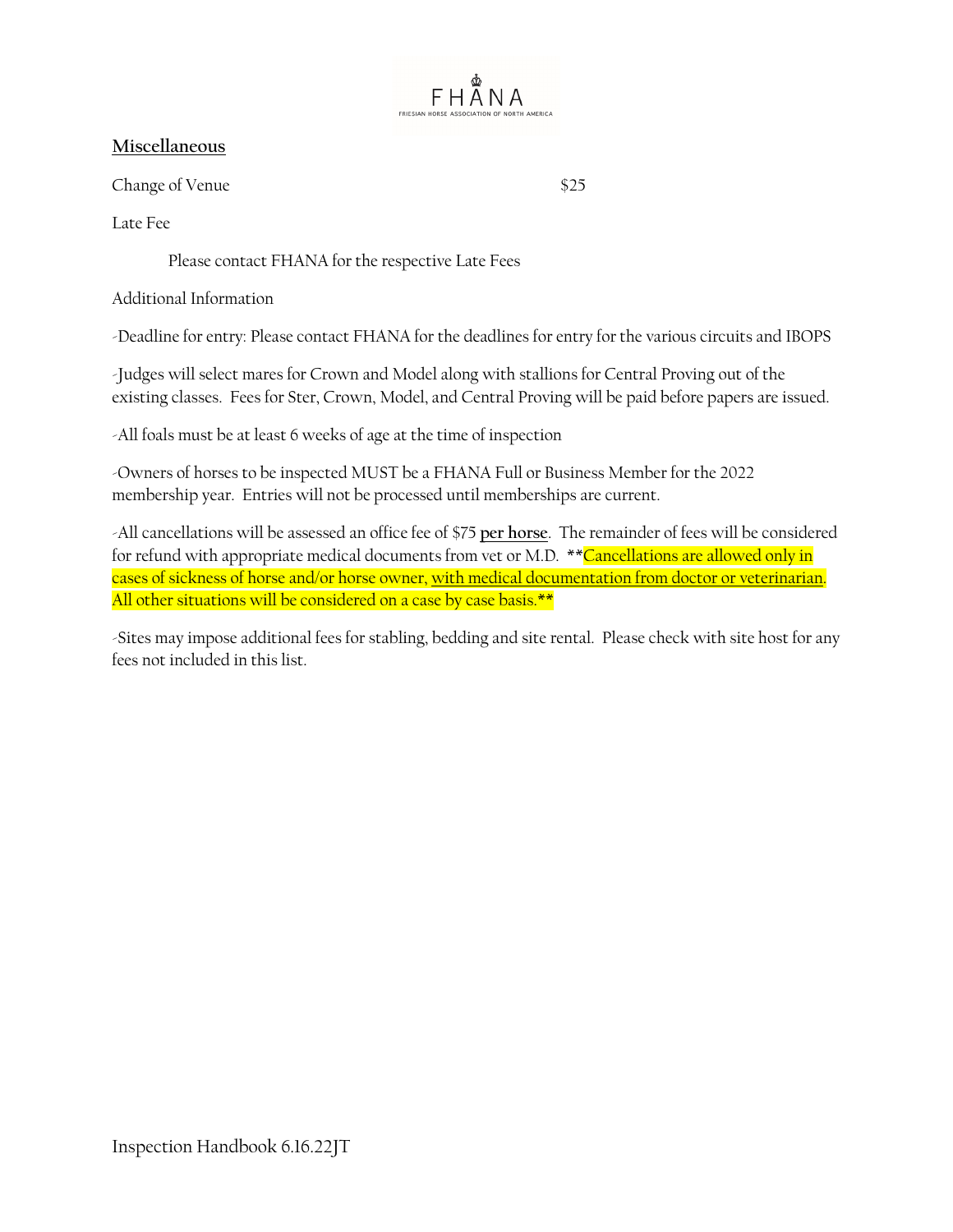

# **Miscellaneous**

Change of Venue \$25

Late Fee

Please contact FHANA for the respective Late Fees

Additional Information

-Deadline for entry: Please contact FHANA for the deadlines for entry for the various circuits and IBOPS

-Judges will select mares for Crown and Model along with stallions for Central Proving out of the existing classes. Fees for Ster, Crown, Model, and Central Proving will be paid before papers are issued.

-All foals must be at least 6 weeks of age at the time of inspection

-Owners of horses to be inspected MUST be a FHANA Full or Business Member for the 2022 membership year. Entries will not be processed until memberships are current.

-All cancellations will be assessed an office fee of \$75 **per horse**. The remainder of fees will be considered for refund with appropriate medical documents from vet or M.D. \*\* Cancellations are allowed only in cases of sickness of horse and/or horse owner, with medical documentation from doctor or veterinarian. All other situations will be considered on a case by case basis.\*\*

-Sites may impose additional fees for stabling, bedding and site rental. Please check with site host for any fees not included in this list.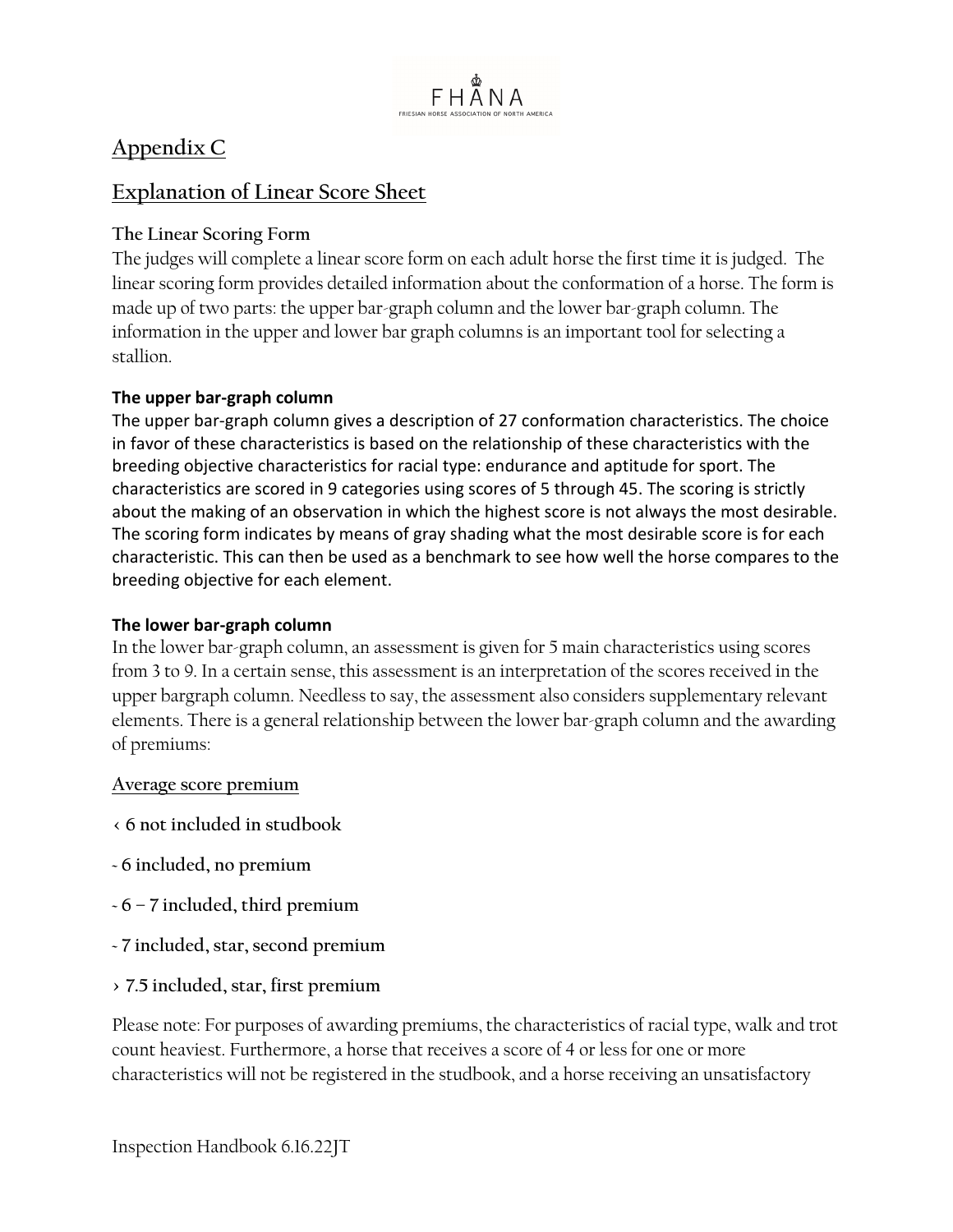

# **Appendix C**

# **Explanation of Linear Score Sheet**

# **The Linear Scoring Form**

The judges will complete a linear score form on each adult horse the first time it is judged. The linear scoring form provides detailed information about the conformation of a horse. The form is made up of two parts: the upper bar-graph column and the lower bar-graph column. The information in the upper and lower bar graph columns is an important tool for selecting a stallion.

# **The upper bar-graph column**

The upper bar-graph column gives a description of 27 conformation characteristics. The choice in favor of these characteristics is based on the relationship of these characteristics with the breeding objective characteristics for racial type: endurance and aptitude for sport. The characteristics are scored in 9 categories using scores of 5 through 45. The scoring is strictly about the making of an observation in which the highest score is not always the most desirable. The scoring form indicates by means of gray shading what the most desirable score is for each characteristic. This can then be used as a benchmark to see how well the horse compares to the breeding objective for each element.

# **The lower bar-graph column**

In the lower bar-graph column, an assessment is given for 5 main characteristics using scores from 3 to 9. In a certain sense, this assessment is an interpretation of the scores received in the upper bargraph column. Needless to say, the assessment also considers supplementary relevant elements. There is a general relationship between the lower bar-graph column and the awarding of premiums:

# **Average score premium**

- **< 6 not included in studbook**
- **~ 6 included, no premium**
- **~ 6 7 included, third premium**
- **~ 7 included, star, second premium**
- **> 7.5 included, star, first premium**

Please note: For purposes of awarding premiums, the characteristics of racial type, walk and trot count heaviest. Furthermore, a horse that receives a score of 4 or less for one or more characteristics will not be registered in the studbook, and a horse receiving an unsatisfactory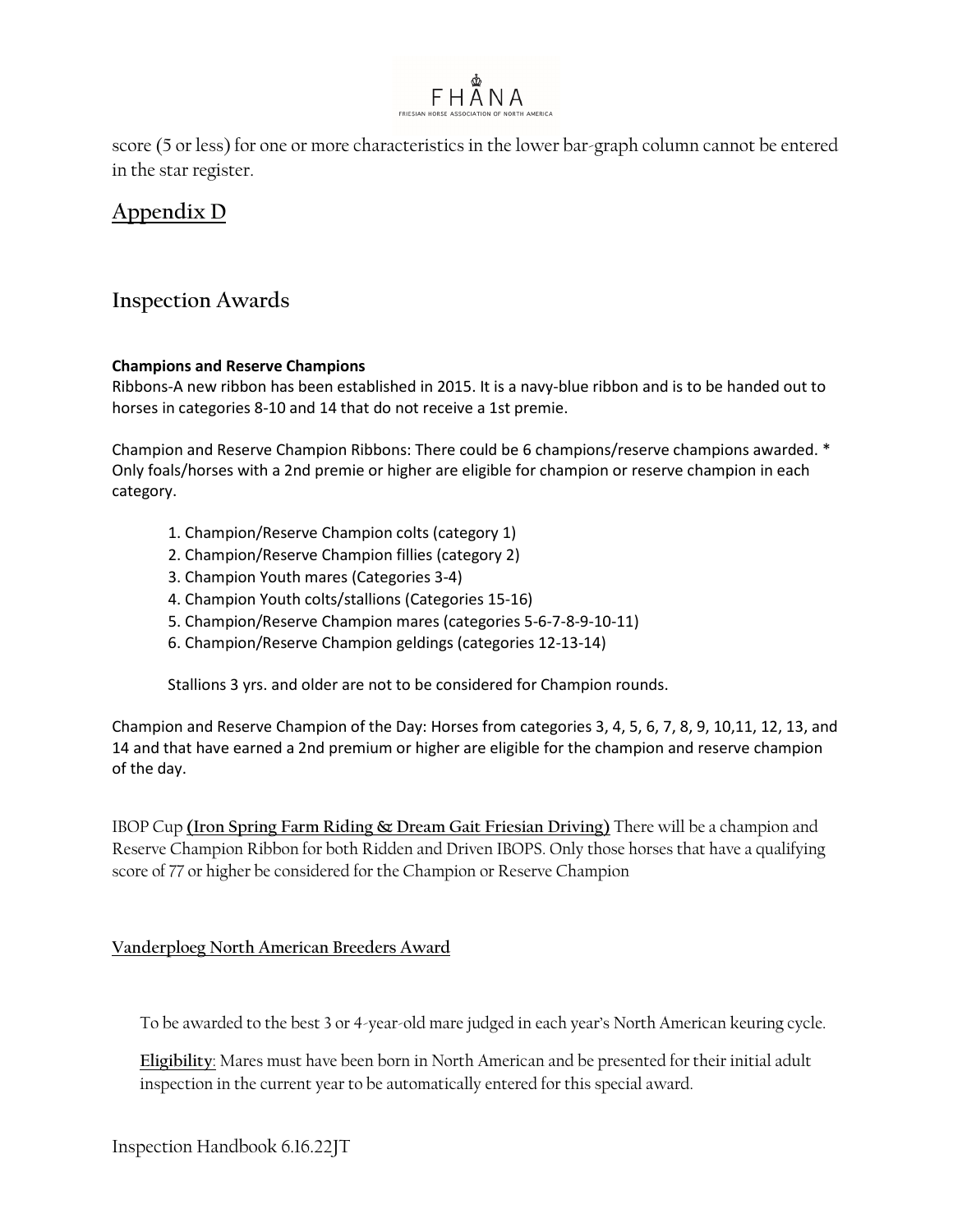

score (5 or less) for one or more characteristics in the lower bar-graph column cannot be entered in the star register.

# **Appendix D**

# **Inspection Awards**

#### **Champions and Reserve Champions**

Ribbons-A new ribbon has been established in 2015. It is a navy-blue ribbon and is to be handed out to horses in categories 8-10 and 14 that do not receive a 1st premie.

Champion and Reserve Champion Ribbons: There could be 6 champions/reserve champions awarded. \* Only foals/horses with a 2nd premie or higher are eligible for champion or reserve champion in each category.

- 1. Champion/Reserve Champion colts (category 1)
- 2. Champion/Reserve Champion fillies (category 2)
- 3. Champion Youth mares (Categories 3-4)
- 4. Champion Youth colts/stallions (Categories 15-16)
- 5. Champion/Reserve Champion mares (categories 5-6-7-8-9-10-11)
- 6. Champion/Reserve Champion geldings (categories 12-13-14)

Stallions 3 yrs. and older are not to be considered for Champion rounds.

Champion and Reserve Champion of the Day: Horses from categories 3, 4, 5, 6, 7, 8, 9, 10,11, 12, 13, and 14 and that have earned a 2nd premium or higher are eligible for the champion and reserve champion of the day.

IBOP Cup **(Iron Spring Farm Riding & Dream Gait Friesian Driving)** There will be a champion and Reserve Champion Ribbon for both Ridden and Driven IBOPS. Only those horses that have a qualifying score of 77 or higher be considered for the Champion or Reserve Champion

### **Vanderploeg North American Breeders Award**

To be awarded to the best 3 or 4-year-old mare judged in each year's North American keuring cycle.

**Eligibility**: Mares must have been born in North American and be presented for their initial adult inspection in the current year to be automatically entered for this special award.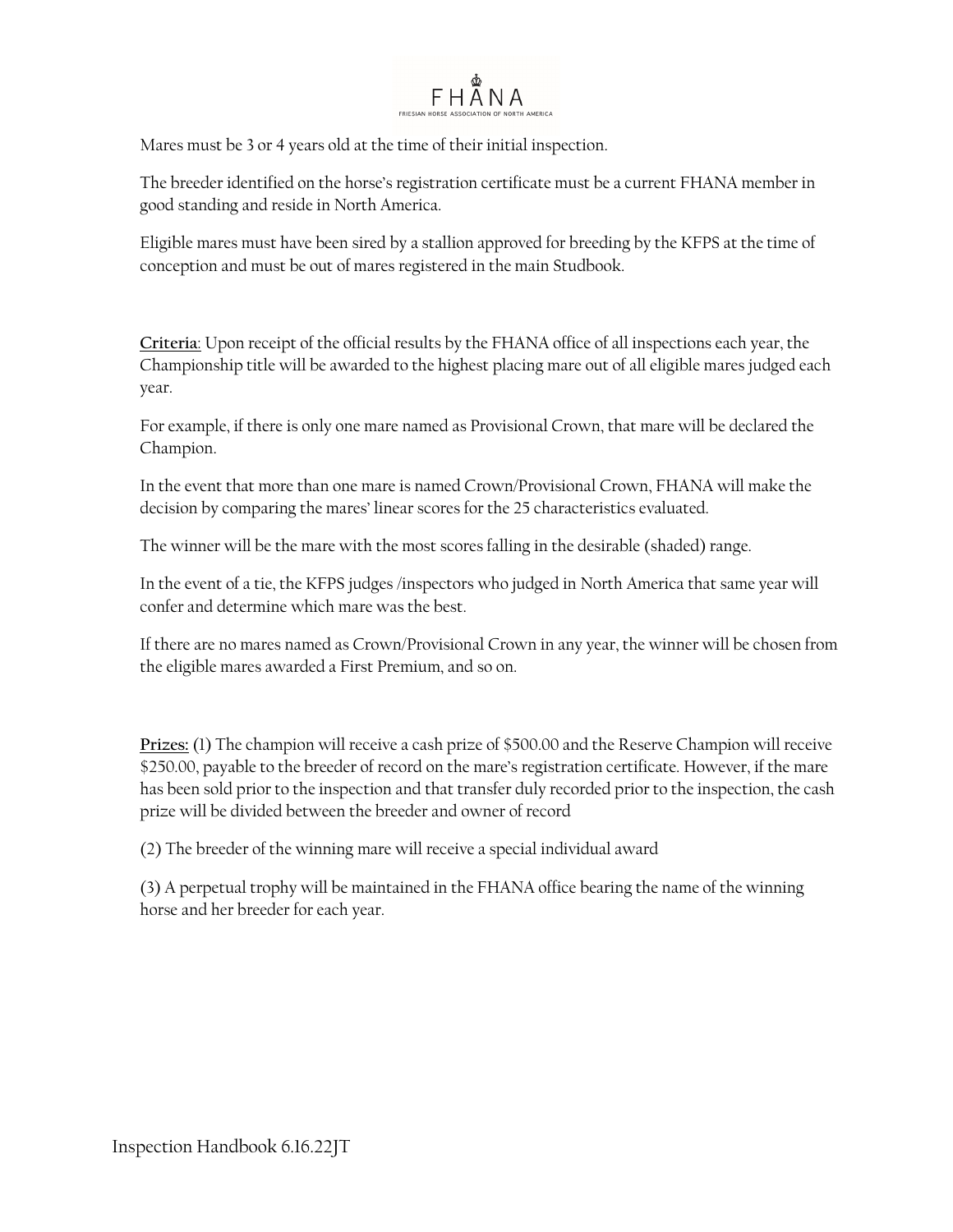

Mares must be 3 or 4 years old at the time of their initial inspection.

The breeder identified on the horse's registration certificate must be a current FHANA member in good standing and reside in North America.

Eligible mares must have been sired by a stallion approved for breeding by the KFPS at the time of conception and must be out of mares registered in the main Studbook.

**Criteria**: Upon receipt of the official results by the FHANA office of all inspections each year, the Championship title will be awarded to the highest placing mare out of all eligible mares judged each year.

For example, if there is only one mare named as Provisional Crown, that mare will be declared the Champion.

In the event that more than one mare is named Crown/Provisional Crown, FHANA will make the decision by comparing the mares' linear scores for the 25 characteristics evaluated.

The winner will be the mare with the most scores falling in the desirable (shaded) range.

In the event of a tie, the KFPS judges /inspectors who judged in North America that same year will confer and determine which mare was the best.

If there are no mares named as Crown/Provisional Crown in any year, the winner will be chosen from the eligible mares awarded a First Premium, and so on.

**Prizes:** (1) The champion will receive a cash prize of \$500.00 and the Reserve Champion will receive \$250.00, payable to the breeder of record on the mare's registration certificate. However, if the mare has been sold prior to the inspection and that transfer duly recorded prior to the inspection, the cash prize will be divided between the breeder and owner of record

(2) The breeder of the winning mare will receive a special individual award

(3) A perpetual trophy will be maintained in the FHANA office bearing the name of the winning horse and her breeder for each year.